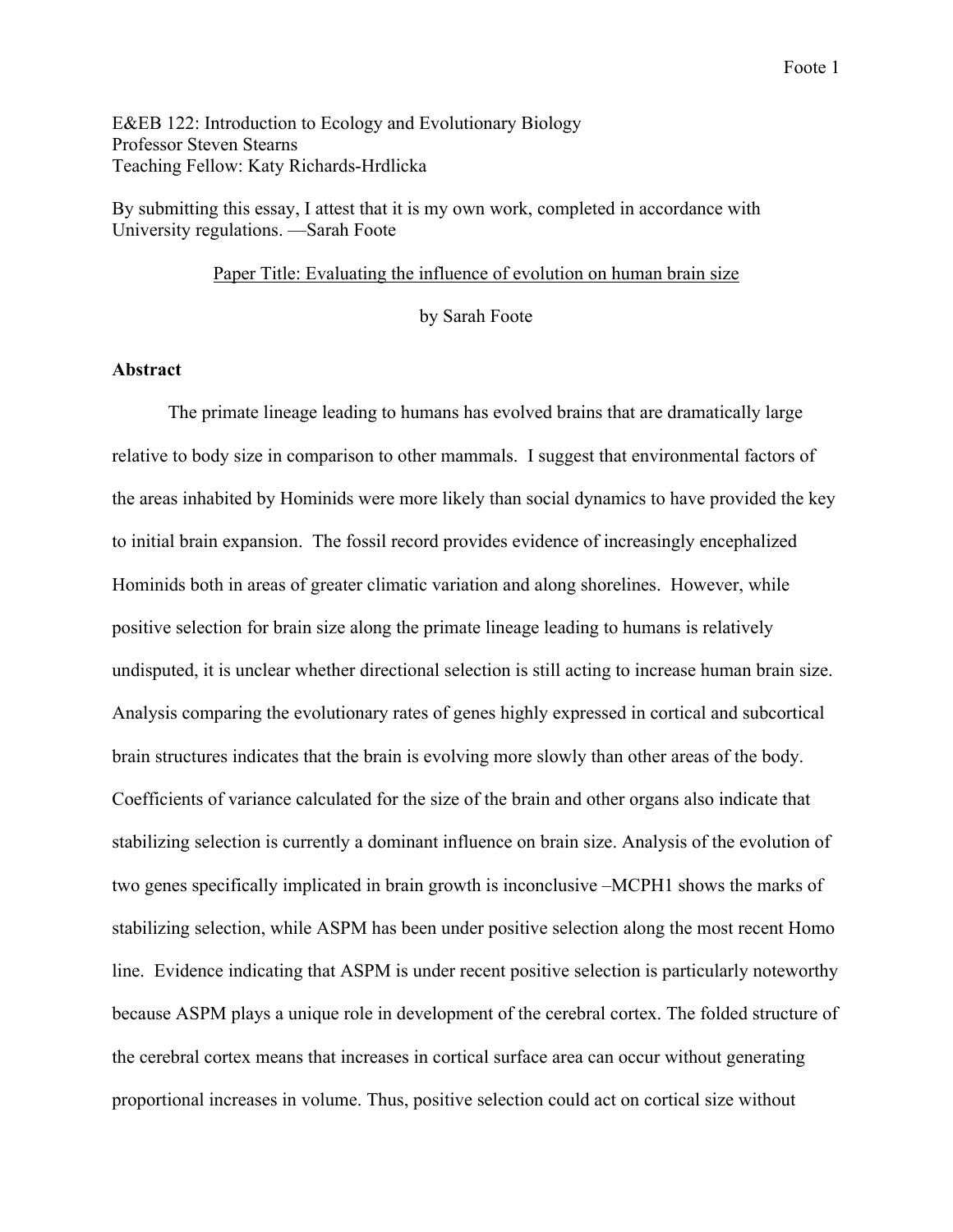E&EB 122: Introduction to Ecology and Evolutionary Biology Professor Steven Stearns Teaching Fellow: Katy Richards-Hrdlicka

By submitting this essay, I attest that it is my own work, completed in accordance with University regulations. —Sarah Foote

#### Paper Title: Evaluating the influence of evolution on human brain size

by Sarah Foote

# **Abstract**

The primate lineage leading to humans has evolved brains that are dramatically large relative to body size in comparison to other mammals. I suggest that environmental factors of the areas inhabited by Hominids were more likely than social dynamics to have provided the key to initial brain expansion. The fossil record provides evidence of increasingly encephalized Hominids both in areas of greater climatic variation and along shorelines. However, while positive selection for brain size along the primate lineage leading to humans is relatively undisputed, it is unclear whether directional selection is still acting to increase human brain size. Analysis comparing the evolutionary rates of genes highly expressed in cortical and subcortical brain structures indicates that the brain is evolving more slowly than other areas of the body. Coefficients of variance calculated for the size of the brain and other organs also indicate that stabilizing selection is currently a dominant influence on brain size. Analysis of the evolution of two genes specifically implicated in brain growth is inconclusive –MCPH1 shows the marks of stabilizing selection, while ASPM has been under positive selection along the most recent Homo line. Evidence indicating that ASPM is under recent positive selection is particularly noteworthy because ASPM plays a unique role in development of the cerebral cortex. The folded structure of the cerebral cortex means that increases in cortical surface area can occur without generating proportional increases in volume. Thus, positive selection could act on cortical size without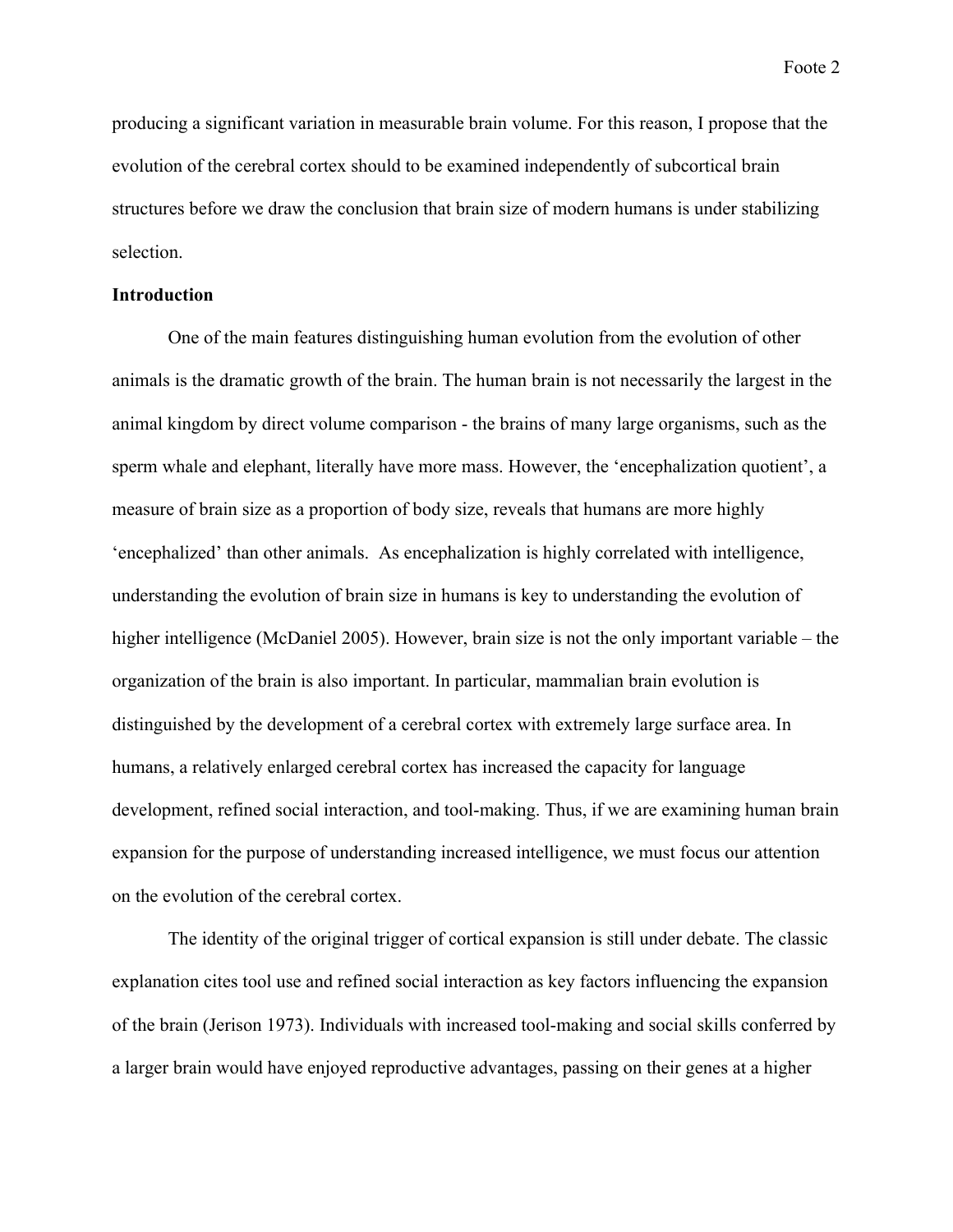producing a significant variation in measurable brain volume. For this reason, I propose that the evolution of the cerebral cortex should to be examined independently of subcortical brain structures before we draw the conclusion that brain size of modern humans is under stabilizing selection.

#### **Introduction**

One of the main features distinguishing human evolution from the evolution of other animals is the dramatic growth of the brain. The human brain is not necessarily the largest in the animal kingdom by direct volume comparison - the brains of many large organisms, such as the sperm whale and elephant, literally have more mass. However, the 'encephalization quotient', a measure of brain size as a proportion of body size, reveals that humans are more highly 'encephalized' than other animals. As encephalization is highly correlated with intelligence, understanding the evolution of brain size in humans is key to understanding the evolution of higher intelligence (McDaniel 2005). However, brain size is not the only important variable – the organization of the brain is also important. In particular, mammalian brain evolution is distinguished by the development of a cerebral cortex with extremely large surface area. In humans, a relatively enlarged cerebral cortex has increased the capacity for language development, refined social interaction, and tool-making. Thus, if we are examining human brain expansion for the purpose of understanding increased intelligence, we must focus our attention on the evolution of the cerebral cortex.

The identity of the original trigger of cortical expansion is still under debate. The classic explanation cites tool use and refined social interaction as key factors influencing the expansion of the brain (Jerison 1973). Individuals with increased tool-making and social skills conferred by a larger brain would have enjoyed reproductive advantages, passing on their genes at a higher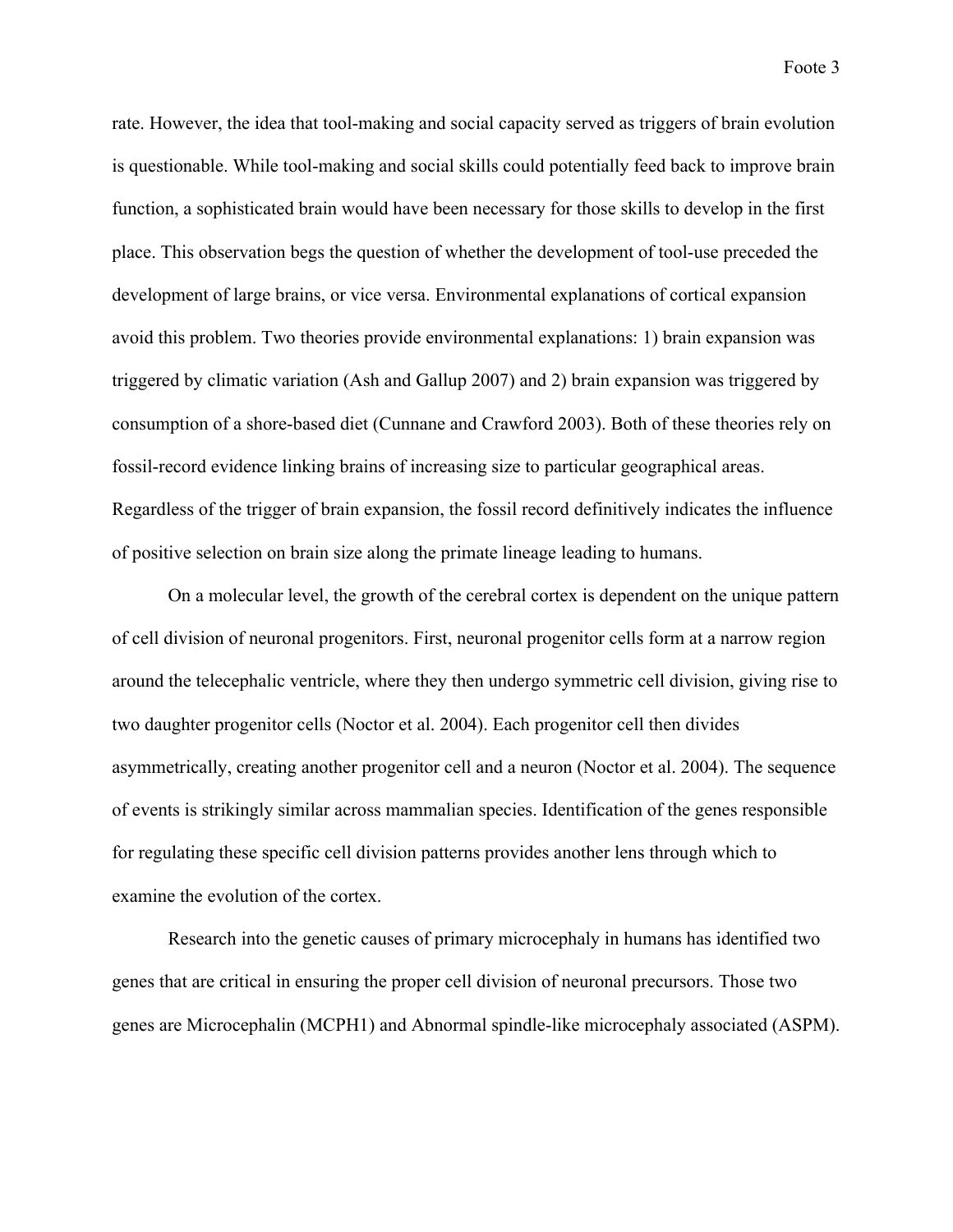rate. However, the idea that tool-making and social capacity served as triggers of brain evolution is questionable. While tool-making and social skills could potentially feed back to improve brain function, a sophisticated brain would have been necessary for those skills to develop in the first place. This observation begs the question of whether the development of tool-use preceded the development of large brains, or vice versa. Environmental explanations of cortical expansion avoid this problem. Two theories provide environmental explanations: 1) brain expansion was triggered by climatic variation (Ash and Gallup 2007) and 2) brain expansion was triggered by consumption of a shore-based diet (Cunnane and Crawford 2003). Both of these theories rely on fossil-record evidence linking brains of increasing size to particular geographical areas. Regardless of the trigger of brain expansion, the fossil record definitively indicates the influence of positive selection on brain size along the primate lineage leading to humans.

On a molecular level, the growth of the cerebral cortex is dependent on the unique pattern of cell division of neuronal progenitors. First, neuronal progenitor cells form at a narrow region around the telecephalic ventricle, where they then undergo symmetric cell division, giving rise to two daughter progenitor cells (Noctor et al. 2004). Each progenitor cell then divides asymmetrically, creating another progenitor cell and a neuron (Noctor et al. 2004). The sequence of events is strikingly similar across mammalian species. Identification of the genes responsible for regulating these specific cell division patterns provides another lens through which to examine the evolution of the cortex.

Research into the genetic causes of primary microcephaly in humans has identified two genes that are critical in ensuring the proper cell division of neuronal precursors. Those two genes are Microcephalin (MCPH1) and Abnormal spindle-like microcephaly associated (ASPM).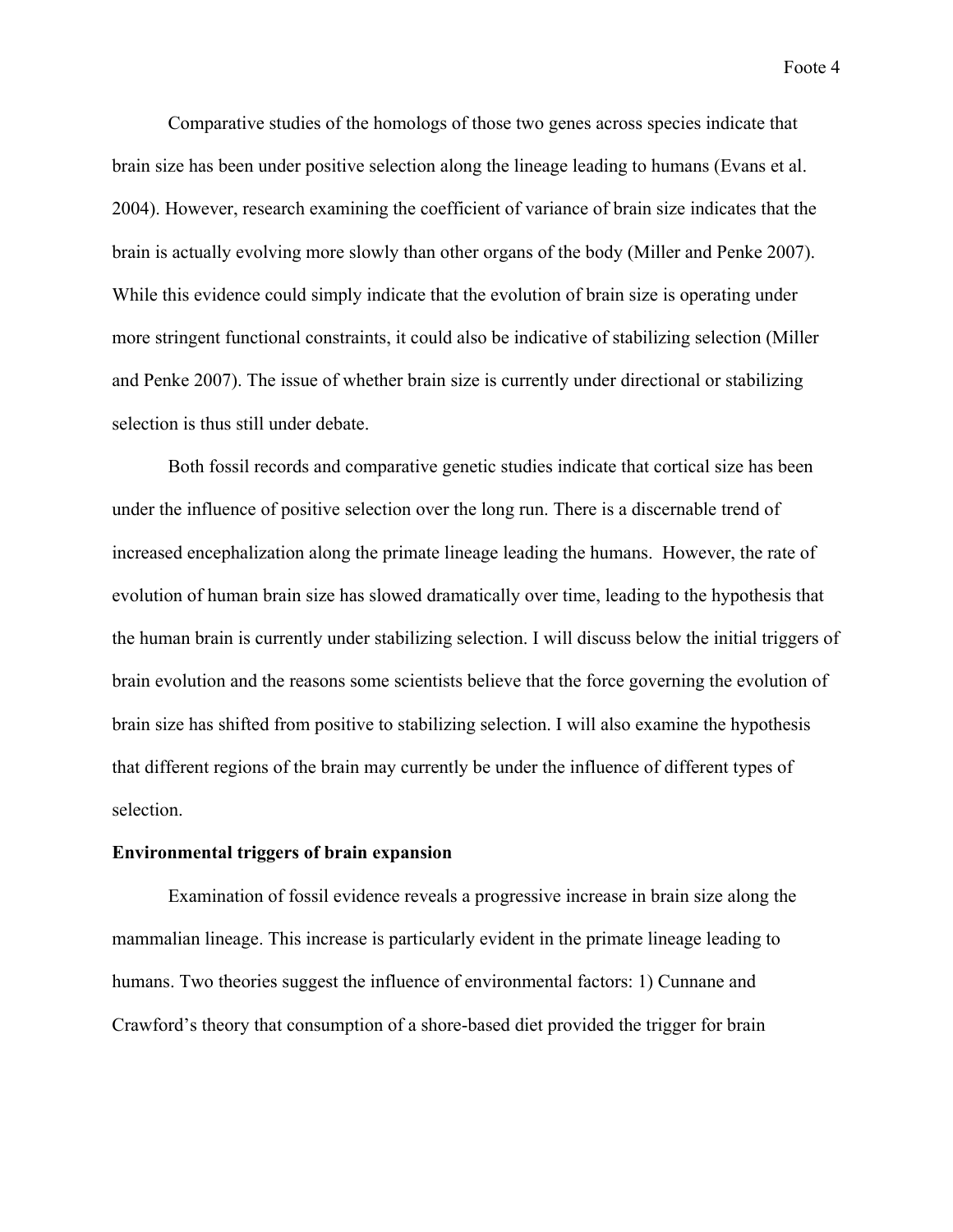Comparative studies of the homologs of those two genes across species indicate that brain size has been under positive selection along the lineage leading to humans (Evans et al. 2004). However, research examining the coefficient of variance of brain size indicates that the brain is actually evolving more slowly than other organs of the body (Miller and Penke 2007). While this evidence could simply indicate that the evolution of brain size is operating under more stringent functional constraints, it could also be indicative of stabilizing selection (Miller and Penke 2007). The issue of whether brain size is currently under directional or stabilizing selection is thus still under debate.

Both fossil records and comparative genetic studies indicate that cortical size has been under the influence of positive selection over the long run. There is a discernable trend of increased encephalization along the primate lineage leading the humans. However, the rate of evolution of human brain size has slowed dramatically over time, leading to the hypothesis that the human brain is currently under stabilizing selection. I will discuss below the initial triggers of brain evolution and the reasons some scientists believe that the force governing the evolution of brain size has shifted from positive to stabilizing selection. I will also examine the hypothesis that different regions of the brain may currently be under the influence of different types of selection.

### **Environmental triggers of brain expansion**

Examination of fossil evidence reveals a progressive increase in brain size along the mammalian lineage. This increase is particularly evident in the primate lineage leading to humans. Two theories suggest the influence of environmental factors: 1) Cunnane and Crawford's theory that consumption of a shore-based diet provided the trigger for brain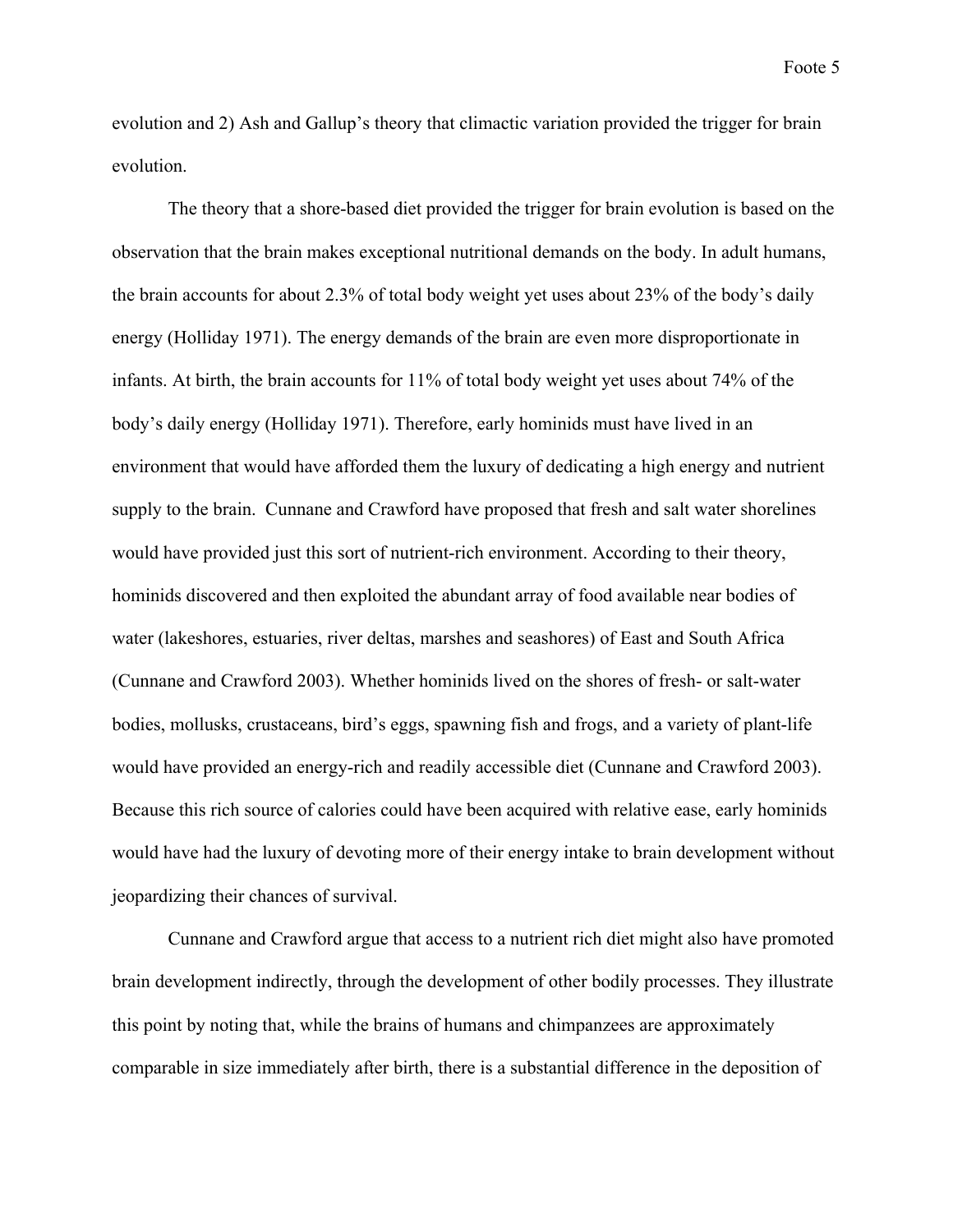evolution and 2) Ash and Gallup's theory that climactic variation provided the trigger for brain evolution.

The theory that a shore-based diet provided the trigger for brain evolution is based on the observation that the brain makes exceptional nutritional demands on the body. In adult humans, the brain accounts for about 2.3% of total body weight yet uses about 23% of the body's daily energy (Holliday 1971). The energy demands of the brain are even more disproportionate in infants. At birth, the brain accounts for 11% of total body weight yet uses about 74% of the body's daily energy (Holliday 1971). Therefore, early hominids must have lived in an environment that would have afforded them the luxury of dedicating a high energy and nutrient supply to the brain. Cunnane and Crawford have proposed that fresh and salt water shorelines would have provided just this sort of nutrient-rich environment. According to their theory, hominids discovered and then exploited the abundant array of food available near bodies of water (lakeshores, estuaries, river deltas, marshes and seashores) of East and South Africa (Cunnane and Crawford 2003). Whether hominids lived on the shores of fresh- or salt-water bodies, mollusks, crustaceans, bird's eggs, spawning fish and frogs, and a variety of plant-life would have provided an energy-rich and readily accessible diet (Cunnane and Crawford 2003). Because this rich source of calories could have been acquired with relative ease, early hominids would have had the luxury of devoting more of their energy intake to brain development without jeopardizing their chances of survival.

Cunnane and Crawford argue that access to a nutrient rich diet might also have promoted brain development indirectly, through the development of other bodily processes. They illustrate this point by noting that, while the brains of humans and chimpanzees are approximately comparable in size immediately after birth, there is a substantial difference in the deposition of

Foote 5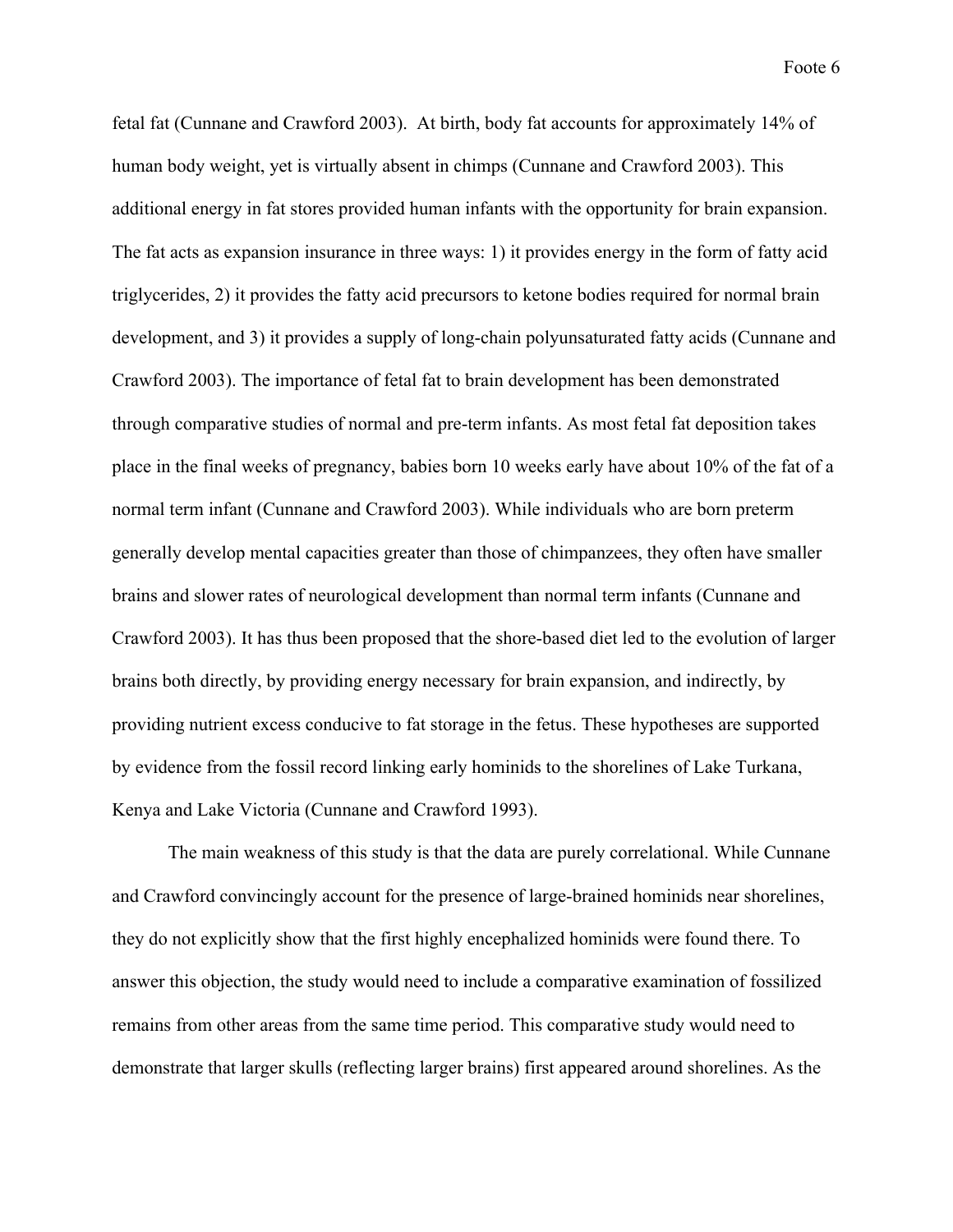fetal fat (Cunnane and Crawford 2003). At birth, body fat accounts for approximately 14% of human body weight, yet is virtually absent in chimps (Cunnane and Crawford 2003). This additional energy in fat stores provided human infants with the opportunity for brain expansion. The fat acts as expansion insurance in three ways: 1) it provides energy in the form of fatty acid triglycerides, 2) it provides the fatty acid precursors to ketone bodies required for normal brain development, and 3) it provides a supply of long-chain polyunsaturated fatty acids (Cunnane and Crawford 2003). The importance of fetal fat to brain development has been demonstrated through comparative studies of normal and pre-term infants. As most fetal fat deposition takes place in the final weeks of pregnancy, babies born 10 weeks early have about 10% of the fat of a normal term infant (Cunnane and Crawford 2003). While individuals who are born preterm generally develop mental capacities greater than those of chimpanzees, they often have smaller brains and slower rates of neurological development than normal term infants (Cunnane and Crawford 2003). It has thus been proposed that the shore-based diet led to the evolution of larger brains both directly, by providing energy necessary for brain expansion, and indirectly, by providing nutrient excess conducive to fat storage in the fetus. These hypotheses are supported by evidence from the fossil record linking early hominids to the shorelines of Lake Turkana, Kenya and Lake Victoria (Cunnane and Crawford 1993).

The main weakness of this study is that the data are purely correlational. While Cunnane and Crawford convincingly account for the presence of large-brained hominids near shorelines, they do not explicitly show that the first highly encephalized hominids were found there. To answer this objection, the study would need to include a comparative examination of fossilized remains from other areas from the same time period. This comparative study would need to demonstrate that larger skulls (reflecting larger brains) first appeared around shorelines. As the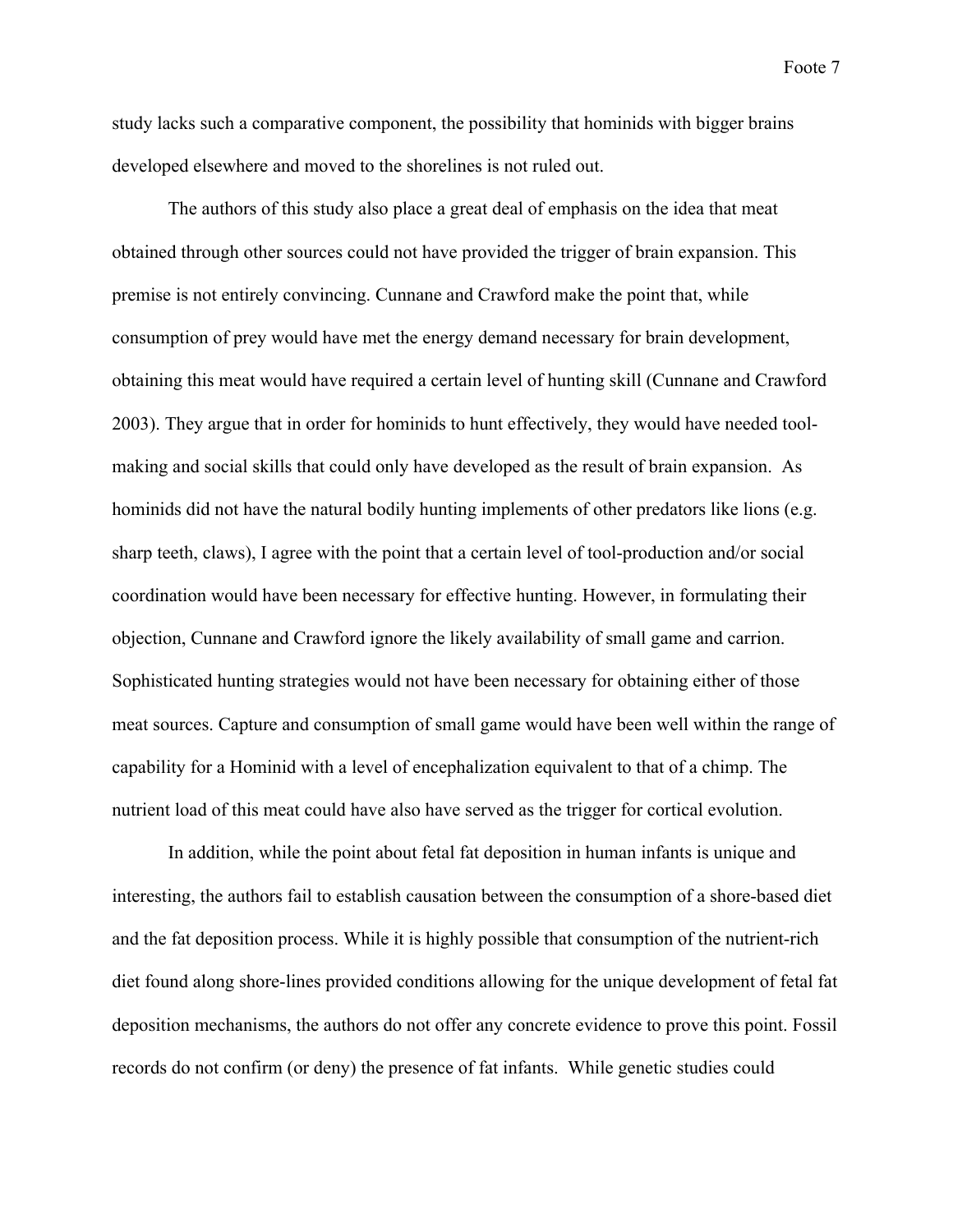study lacks such a comparative component, the possibility that hominids with bigger brains developed elsewhere and moved to the shorelines is not ruled out.

The authors of this study also place a great deal of emphasis on the idea that meat obtained through other sources could not have provided the trigger of brain expansion. This premise is not entirely convincing. Cunnane and Crawford make the point that, while consumption of prey would have met the energy demand necessary for brain development, obtaining this meat would have required a certain level of hunting skill (Cunnane and Crawford 2003). They argue that in order for hominids to hunt effectively, they would have needed toolmaking and social skills that could only have developed as the result of brain expansion. As hominids did not have the natural bodily hunting implements of other predators like lions (e.g. sharp teeth, claws), I agree with the point that a certain level of tool-production and/or social coordination would have been necessary for effective hunting. However, in formulating their objection, Cunnane and Crawford ignore the likely availability of small game and carrion. Sophisticated hunting strategies would not have been necessary for obtaining either of those meat sources. Capture and consumption of small game would have been well within the range of capability for a Hominid with a level of encephalization equivalent to that of a chimp. The nutrient load of this meat could have also have served as the trigger for cortical evolution.

In addition, while the point about fetal fat deposition in human infants is unique and interesting, the authors fail to establish causation between the consumption of a shore-based diet and the fat deposition process. While it is highly possible that consumption of the nutrient-rich diet found along shore-lines provided conditions allowing for the unique development of fetal fat deposition mechanisms, the authors do not offer any concrete evidence to prove this point. Fossil records do not confirm (or deny) the presence of fat infants. While genetic studies could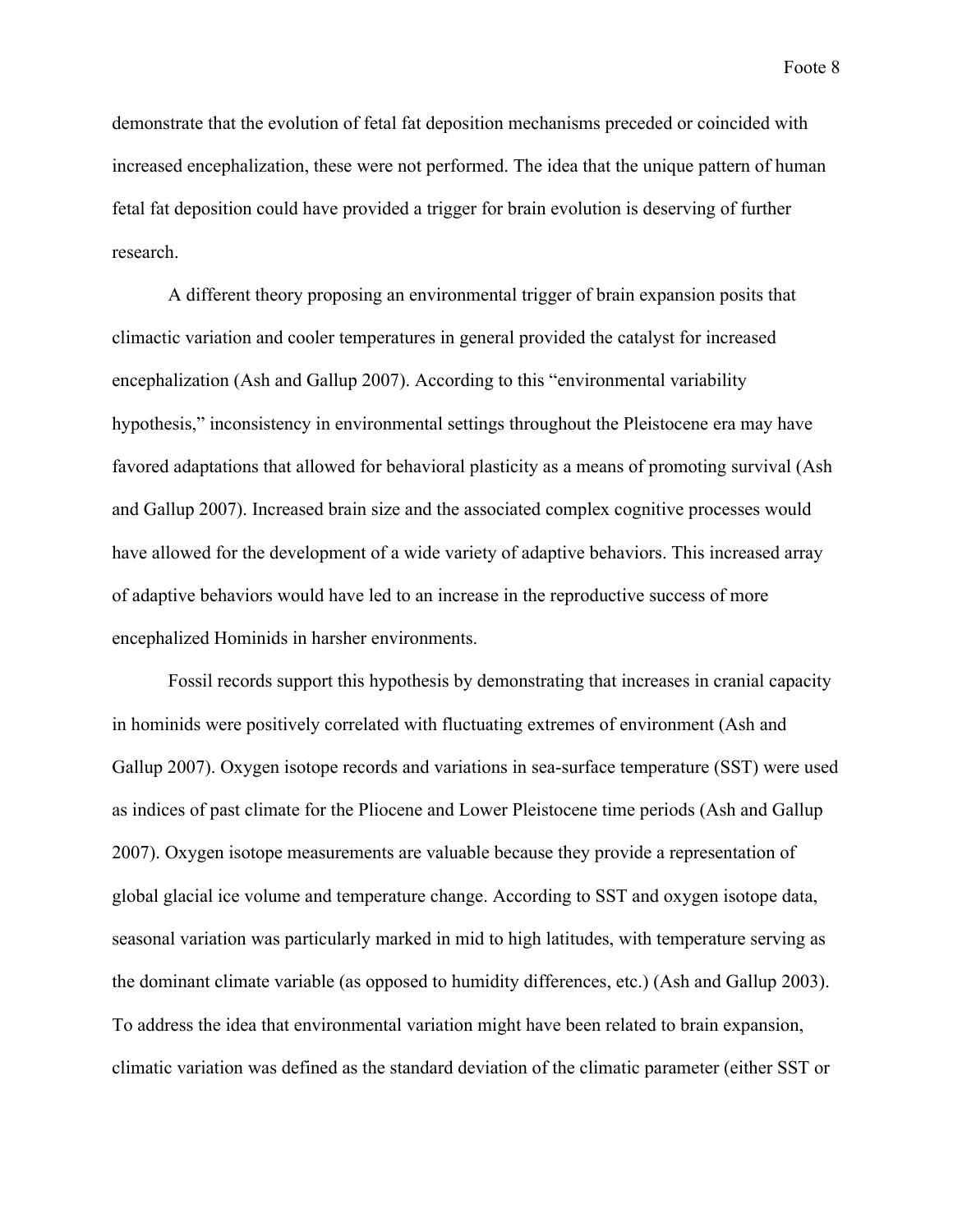demonstrate that the evolution of fetal fat deposition mechanisms preceded or coincided with increased encephalization, these were not performed. The idea that the unique pattern of human fetal fat deposition could have provided a trigger for brain evolution is deserving of further research.

A different theory proposing an environmental trigger of brain expansion posits that climactic variation and cooler temperatures in general provided the catalyst for increased encephalization (Ash and Gallup 2007). According to this "environmental variability hypothesis," inconsistency in environmental settings throughout the Pleistocene era may have favored adaptations that allowed for behavioral plasticity as a means of promoting survival (Ash and Gallup 2007). Increased brain size and the associated complex cognitive processes would have allowed for the development of a wide variety of adaptive behaviors. This increased array of adaptive behaviors would have led to an increase in the reproductive success of more encephalized Hominids in harsher environments.

Fossil records support this hypothesis by demonstrating that increases in cranial capacity in hominids were positively correlated with fluctuating extremes of environment (Ash and Gallup 2007). Oxygen isotope records and variations in sea-surface temperature (SST) were used as indices of past climate for the Pliocene and Lower Pleistocene time periods (Ash and Gallup 2007). Oxygen isotope measurements are valuable because they provide a representation of global glacial ice volume and temperature change. According to SST and oxygen isotope data, seasonal variation was particularly marked in mid to high latitudes, with temperature serving as the dominant climate variable (as opposed to humidity differences, etc.) (Ash and Gallup 2003). To address the idea that environmental variation might have been related to brain expansion, climatic variation was defined as the standard deviation of the climatic parameter (either SST or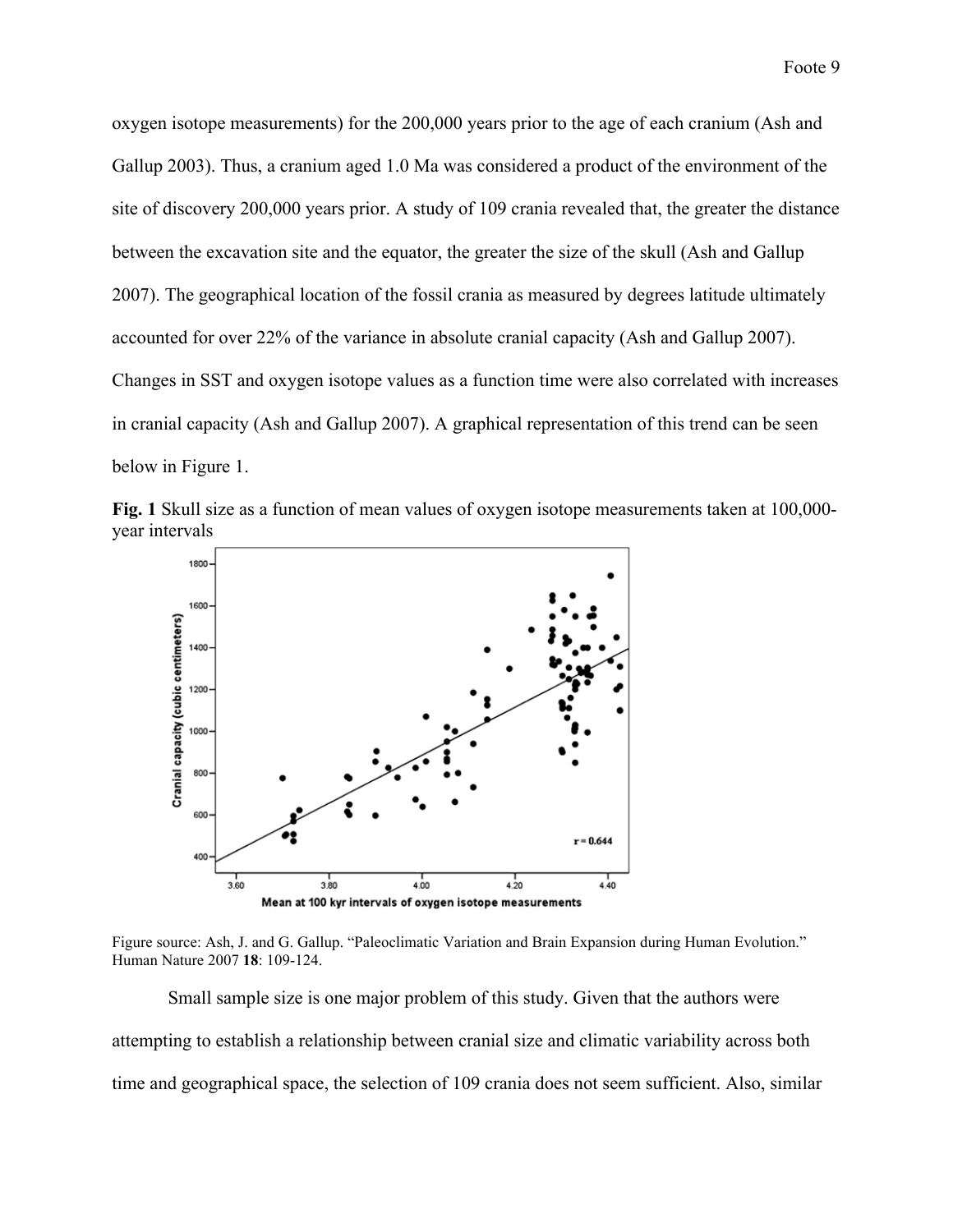oxygen isotope measurements) for the 200,000 years prior to the age of each cranium (Ash and Gallup 2003). Thus, a cranium aged 1.0 Ma was considered a product of the environment of the site of discovery 200,000 years prior. A study of 109 crania revealed that, the greater the distance between the excavation site and the equator, the greater the size of the skull (Ash and Gallup 2007). The geographical location of the fossil crania as measured by degrees latitude ultimately accounted for over 22% of the variance in absolute cranial capacity (Ash and Gallup 2007). Changes in SST and oxygen isotope values as a function time were also correlated with increases in cranial capacity (Ash and Gallup 2007). A graphical representation of this trend can be seen below in Figure 1.





Figure source: Ash, J. and G. Gallup. "Paleoclimatic Variation and Brain Expansion during Human Evolution." Human Nature 2007 **18**: 109-124.

Small sample size is one major problem of this study. Given that the authors were attempting to establish a relationship between cranial size and climatic variability across both time and geographical space, the selection of 109 crania does not seem sufficient. Also, similar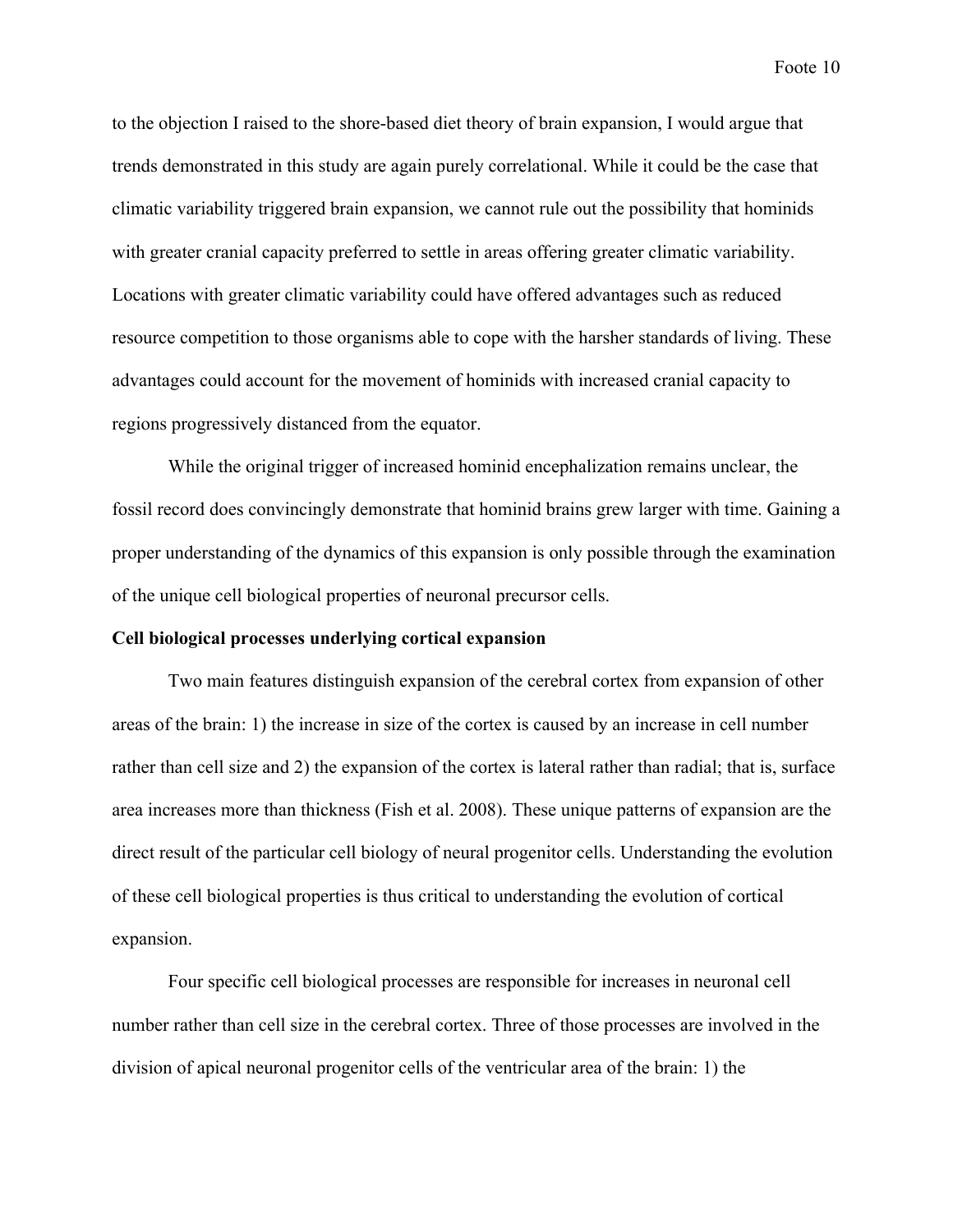to the objection I raised to the shore-based diet theory of brain expansion, I would argue that trends demonstrated in this study are again purely correlational. While it could be the case that climatic variability triggered brain expansion, we cannot rule out the possibility that hominids with greater cranial capacity preferred to settle in areas offering greater climatic variability. Locations with greater climatic variability could have offered advantages such as reduced resource competition to those organisms able to cope with the harsher standards of living. These advantages could account for the movement of hominids with increased cranial capacity to regions progressively distanced from the equator.

While the original trigger of increased hominid encephalization remains unclear, the fossil record does convincingly demonstrate that hominid brains grew larger with time. Gaining a proper understanding of the dynamics of this expansion is only possible through the examination of the unique cell biological properties of neuronal precursor cells.

#### **Cell biological processes underlying cortical expansion**

Two main features distinguish expansion of the cerebral cortex from expansion of other areas of the brain: 1) the increase in size of the cortex is caused by an increase in cell number rather than cell size and 2) the expansion of the cortex is lateral rather than radial; that is, surface area increases more than thickness (Fish et al. 2008). These unique patterns of expansion are the direct result of the particular cell biology of neural progenitor cells. Understanding the evolution of these cell biological properties is thus critical to understanding the evolution of cortical expansion.

Four specific cell biological processes are responsible for increases in neuronal cell number rather than cell size in the cerebral cortex. Three of those processes are involved in the division of apical neuronal progenitor cells of the ventricular area of the brain: 1) the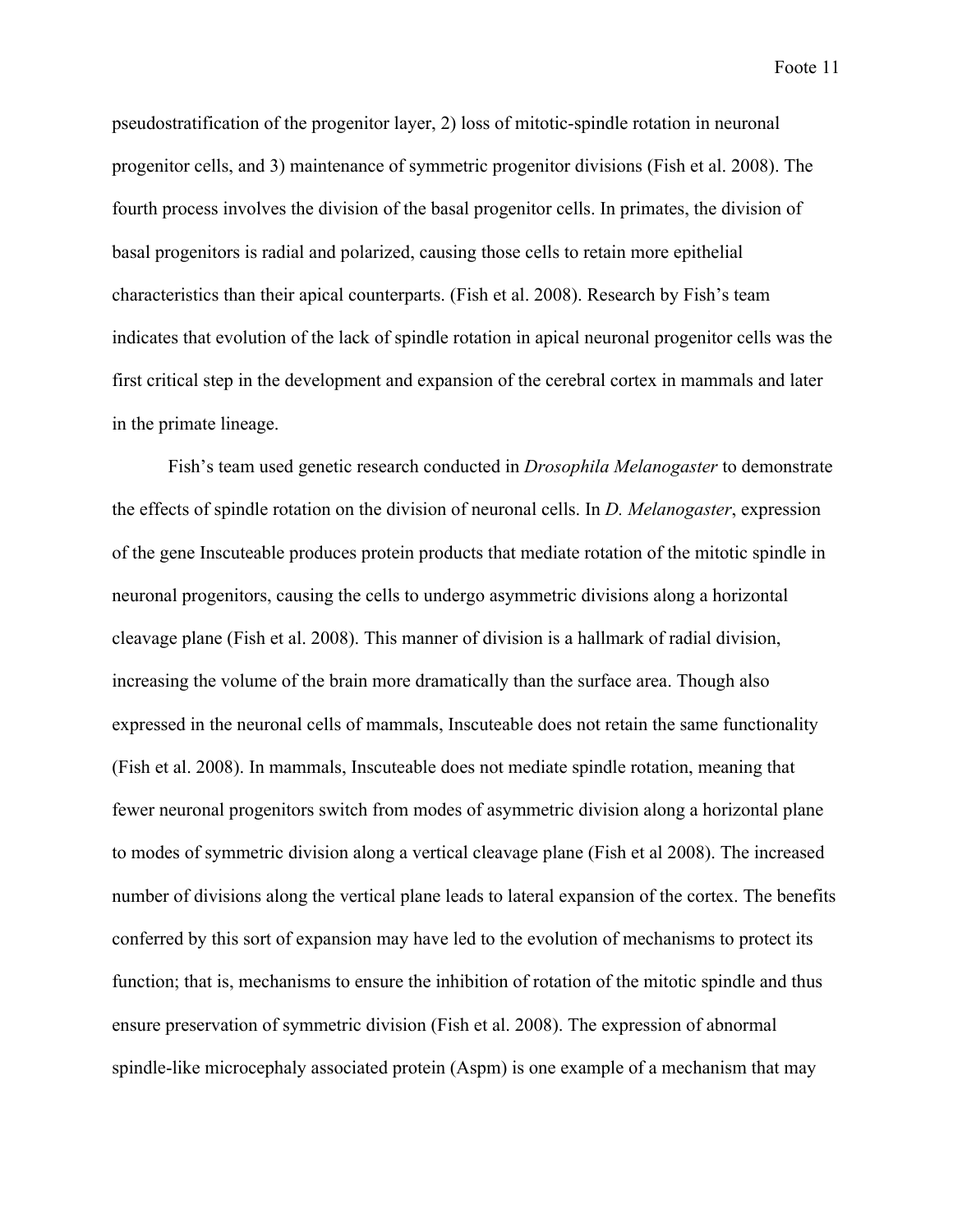pseudostratification of the progenitor layer, 2) loss of mitotic-spindle rotation in neuronal progenitor cells, and 3) maintenance of symmetric progenitor divisions (Fish et al. 2008). The fourth process involves the division of the basal progenitor cells. In primates, the division of basal progenitors is radial and polarized, causing those cells to retain more epithelial characteristics than their apical counterparts. (Fish et al. 2008). Research by Fish's team indicates that evolution of the lack of spindle rotation in apical neuronal progenitor cells was the first critical step in the development and expansion of the cerebral cortex in mammals and later in the primate lineage.

Fish's team used genetic research conducted in *Drosophila Melanogaster* to demonstrate the effects of spindle rotation on the division of neuronal cells. In *D. Melanogaster*, expression of the gene Inscuteable produces protein products that mediate rotation of the mitotic spindle in neuronal progenitors, causing the cells to undergo asymmetric divisions along a horizontal cleavage plane (Fish et al. 2008). This manner of division is a hallmark of radial division, increasing the volume of the brain more dramatically than the surface area. Though also expressed in the neuronal cells of mammals, Inscuteable does not retain the same functionality (Fish et al. 2008). In mammals, Inscuteable does not mediate spindle rotation, meaning that fewer neuronal progenitors switch from modes of asymmetric division along a horizontal plane to modes of symmetric division along a vertical cleavage plane (Fish et al 2008). The increased number of divisions along the vertical plane leads to lateral expansion of the cortex. The benefits conferred by this sort of expansion may have led to the evolution of mechanisms to protect its function; that is, mechanisms to ensure the inhibition of rotation of the mitotic spindle and thus ensure preservation of symmetric division (Fish et al. 2008). The expression of abnormal spindle-like microcephaly associated protein (Aspm) is one example of a mechanism that may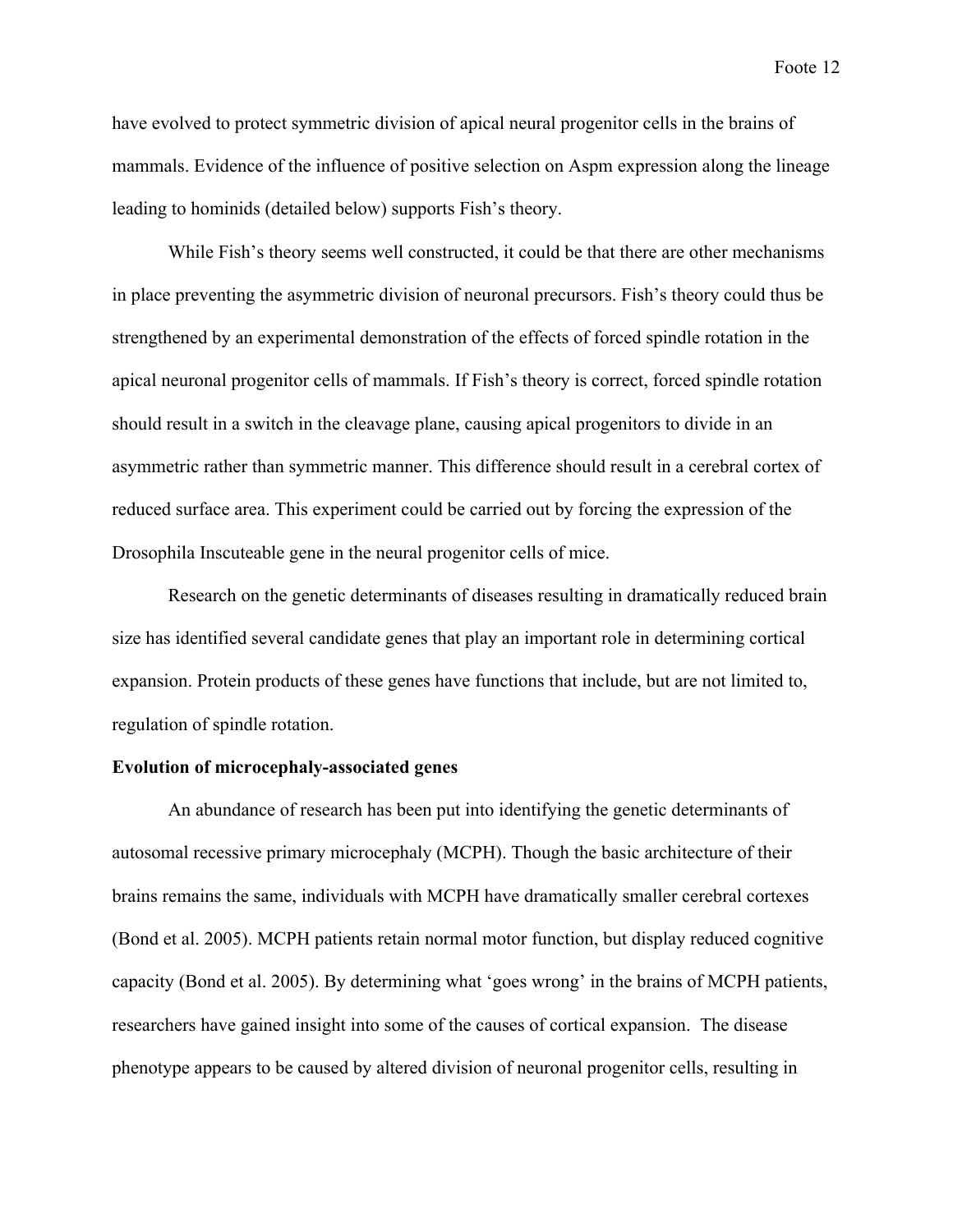have evolved to protect symmetric division of apical neural progenitor cells in the brains of mammals. Evidence of the influence of positive selection on Aspm expression along the lineage leading to hominids (detailed below) supports Fish's theory.

While Fish's theory seems well constructed, it could be that there are other mechanisms in place preventing the asymmetric division of neuronal precursors. Fish's theory could thus be strengthened by an experimental demonstration of the effects of forced spindle rotation in the apical neuronal progenitor cells of mammals. If Fish's theory is correct, forced spindle rotation should result in a switch in the cleavage plane, causing apical progenitors to divide in an asymmetric rather than symmetric manner. This difference should result in a cerebral cortex of reduced surface area. This experiment could be carried out by forcing the expression of the Drosophila Inscuteable gene in the neural progenitor cells of mice.

Research on the genetic determinants of diseases resulting in dramatically reduced brain size has identified several candidate genes that play an important role in determining cortical expansion. Protein products of these genes have functions that include, but are not limited to, regulation of spindle rotation.

### **Evolution of microcephaly-associated genes**

An abundance of research has been put into identifying the genetic determinants of autosomal recessive primary microcephaly (MCPH). Though the basic architecture of their brains remains the same, individuals with MCPH have dramatically smaller cerebral cortexes (Bond et al. 2005). MCPH patients retain normal motor function, but display reduced cognitive capacity (Bond et al. 2005). By determining what 'goes wrong' in the brains of MCPH patients, researchers have gained insight into some of the causes of cortical expansion. The disease phenotype appears to be caused by altered division of neuronal progenitor cells, resulting in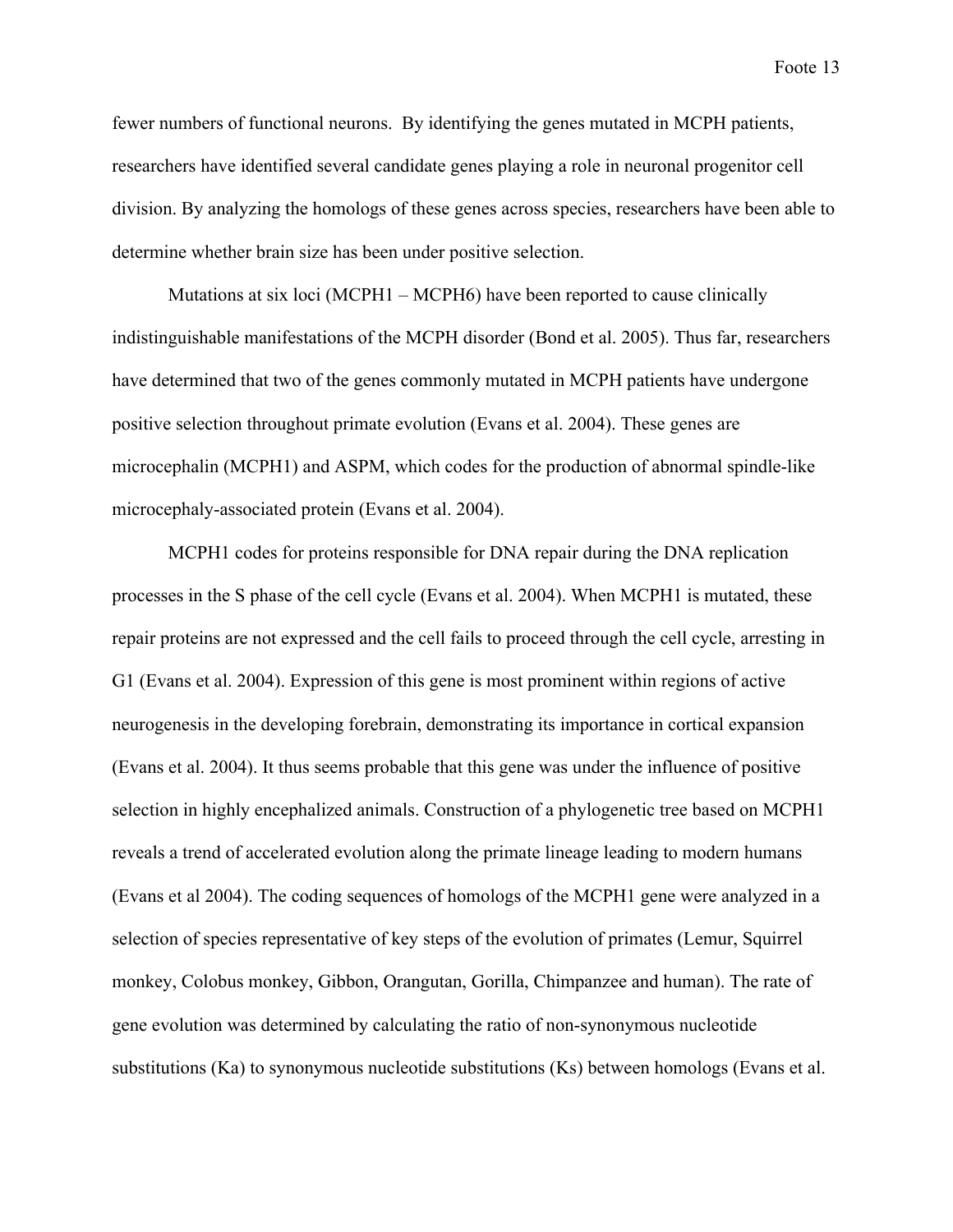fewer numbers of functional neurons. By identifying the genes mutated in MCPH patients, researchers have identified several candidate genes playing a role in neuronal progenitor cell division. By analyzing the homologs of these genes across species, researchers have been able to determine whether brain size has been under positive selection.

Mutations at six loci (MCPH1 – MCPH6) have been reported to cause clinically indistinguishable manifestations of the MCPH disorder (Bond et al. 2005). Thus far, researchers have determined that two of the genes commonly mutated in MCPH patients have undergone positive selection throughout primate evolution (Evans et al. 2004). These genes are microcephalin (MCPH1) and ASPM, which codes for the production of abnormal spindle-like microcephaly-associated protein (Evans et al. 2004).

MCPH1 codes for proteins responsible for DNA repair during the DNA replication processes in the S phase of the cell cycle (Evans et al. 2004). When MCPH1 is mutated, these repair proteins are not expressed and the cell fails to proceed through the cell cycle, arresting in G1 (Evans et al. 2004). Expression of this gene is most prominent within regions of active neurogenesis in the developing forebrain, demonstrating its importance in cortical expansion (Evans et al. 2004). It thus seems probable that this gene was under the influence of positive selection in highly encephalized animals. Construction of a phylogenetic tree based on MCPH1 reveals a trend of accelerated evolution along the primate lineage leading to modern humans (Evans et al 2004). The coding sequences of homologs of the MCPH1 gene were analyzed in a selection of species representative of key steps of the evolution of primates (Lemur, Squirrel monkey, Colobus monkey, Gibbon, Orangutan, Gorilla, Chimpanzee and human). The rate of gene evolution was determined by calculating the ratio of non-synonymous nucleotide substitutions (Ka) to synonymous nucleotide substitutions (Ks) between homologs (Evans et al.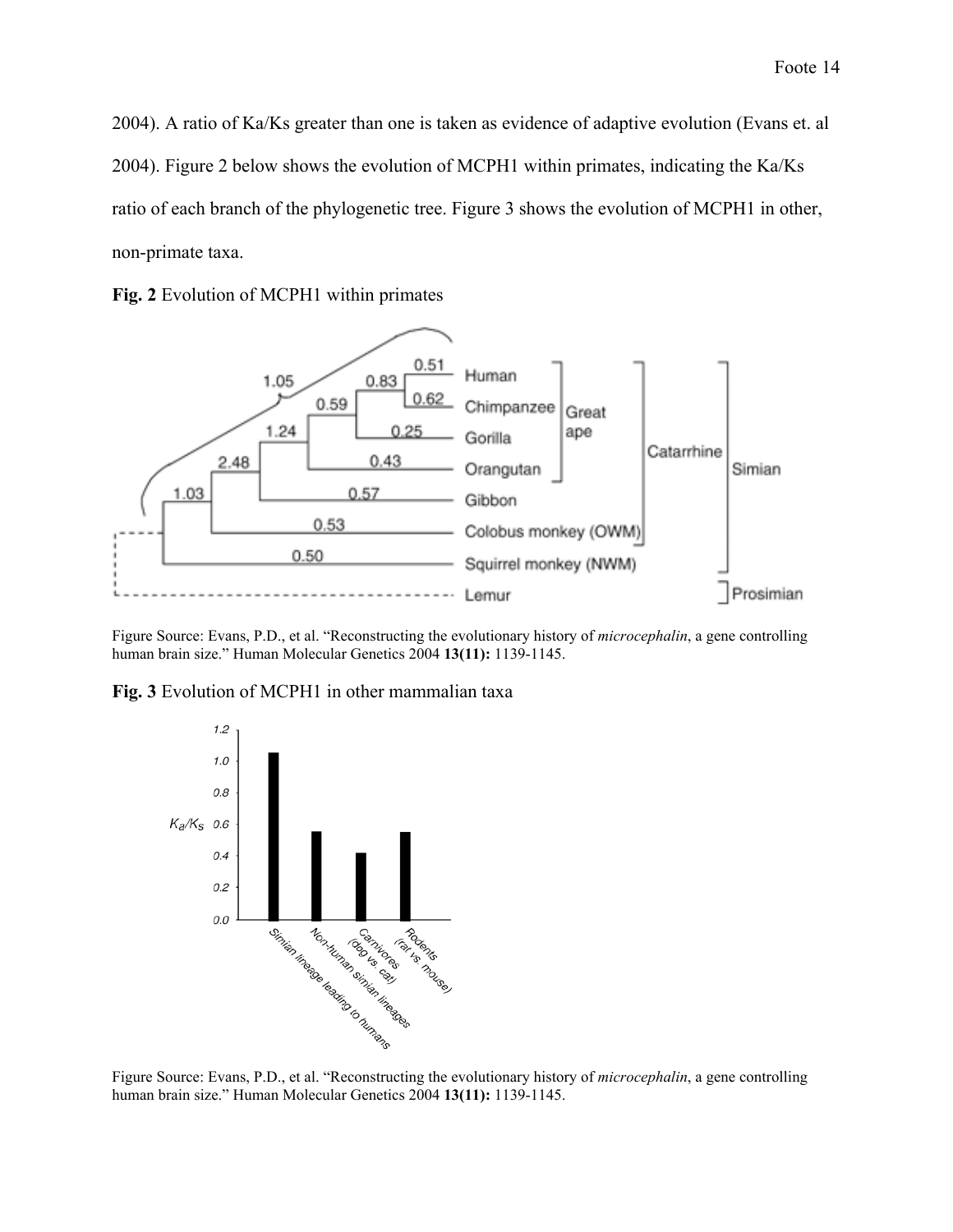2004). A ratio of Ka/Ks greater than one is taken as evidence of adaptive evolution (Evans et. al 2004). Figure 2 below shows the evolution of MCPH1 within primates, indicating the Ka/Ks ratio of each branch of the phylogenetic tree. Figure 3 shows the evolution of MCPH1 in other, non-primate taxa.





Figure Source: Evans, P.D., et al. "Reconstructing the evolutionary history of *microcephalin*, a gene controlling human brain size." Human Molecular Genetics 2004 **13(11):** 1139-1145.

**Fig. 3** Evolution of MCPH1 in other mammalian taxa



Figure Source: Evans, P.D., et al. "Reconstructing the evolutionary history of *microcephalin*, a gene controlling human brain size." Human Molecular Genetics 2004 **13(11):** 1139-1145.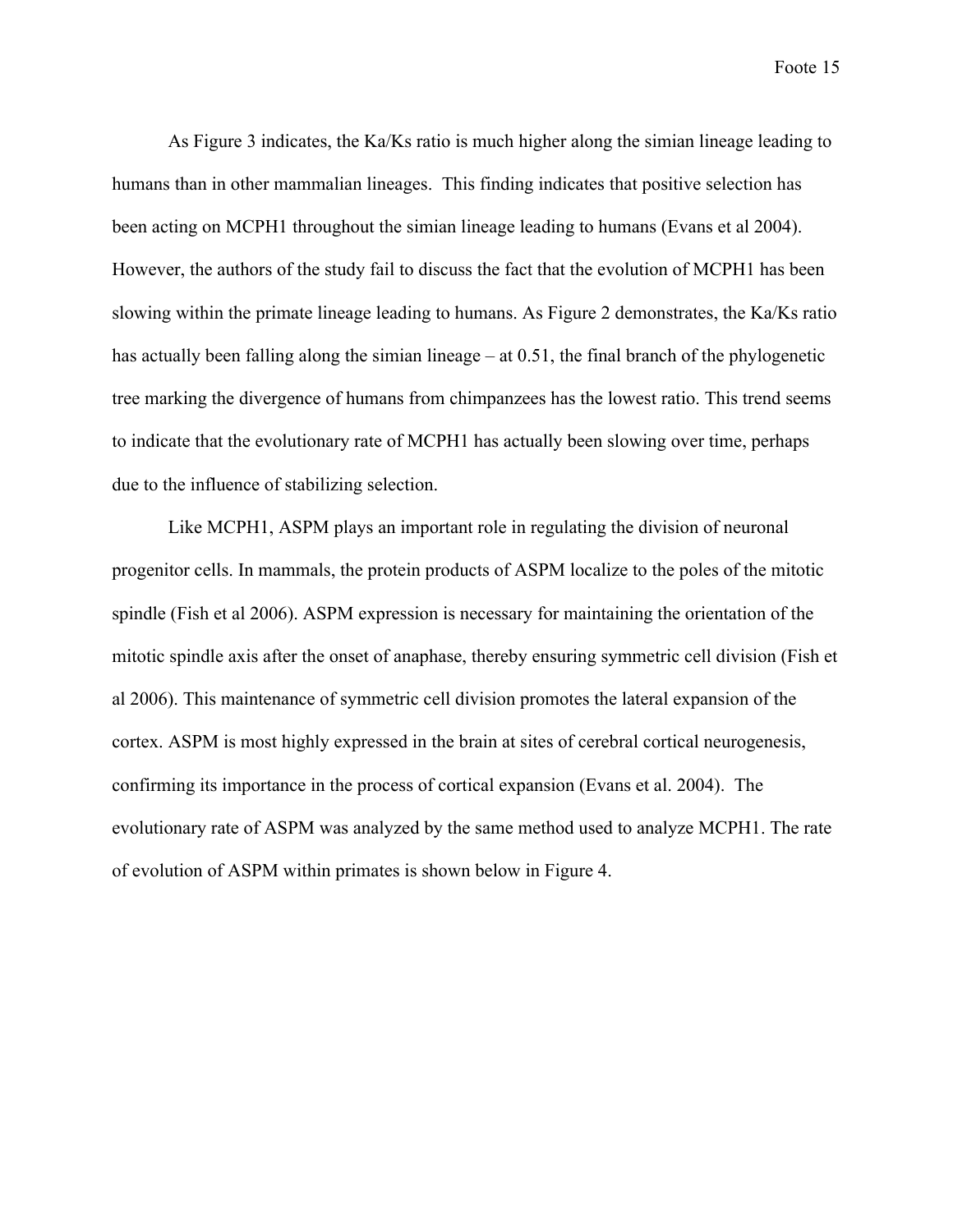As Figure 3 indicates, the Ka/Ks ratio is much higher along the simian lineage leading to humans than in other mammalian lineages. This finding indicates that positive selection has been acting on MCPH1 throughout the simian lineage leading to humans (Evans et al 2004). However, the authors of the study fail to discuss the fact that the evolution of MCPH1 has been slowing within the primate lineage leading to humans. As Figure 2 demonstrates, the Ka/Ks ratio has actually been falling along the simian lineage – at 0.51, the final branch of the phylogenetic tree marking the divergence of humans from chimpanzees has the lowest ratio. This trend seems to indicate that the evolutionary rate of MCPH1 has actually been slowing over time, perhaps due to the influence of stabilizing selection.

Like MCPH1, ASPM plays an important role in regulating the division of neuronal progenitor cells. In mammals, the protein products of ASPM localize to the poles of the mitotic spindle (Fish et al 2006). ASPM expression is necessary for maintaining the orientation of the mitotic spindle axis after the onset of anaphase, thereby ensuring symmetric cell division (Fish et al 2006). This maintenance of symmetric cell division promotes the lateral expansion of the cortex. ASPM is most highly expressed in the brain at sites of cerebral cortical neurogenesis, confirming its importance in the process of cortical expansion (Evans et al. 2004). The evolutionary rate of ASPM was analyzed by the same method used to analyze MCPH1. The rate of evolution of ASPM within primates is shown below in Figure 4.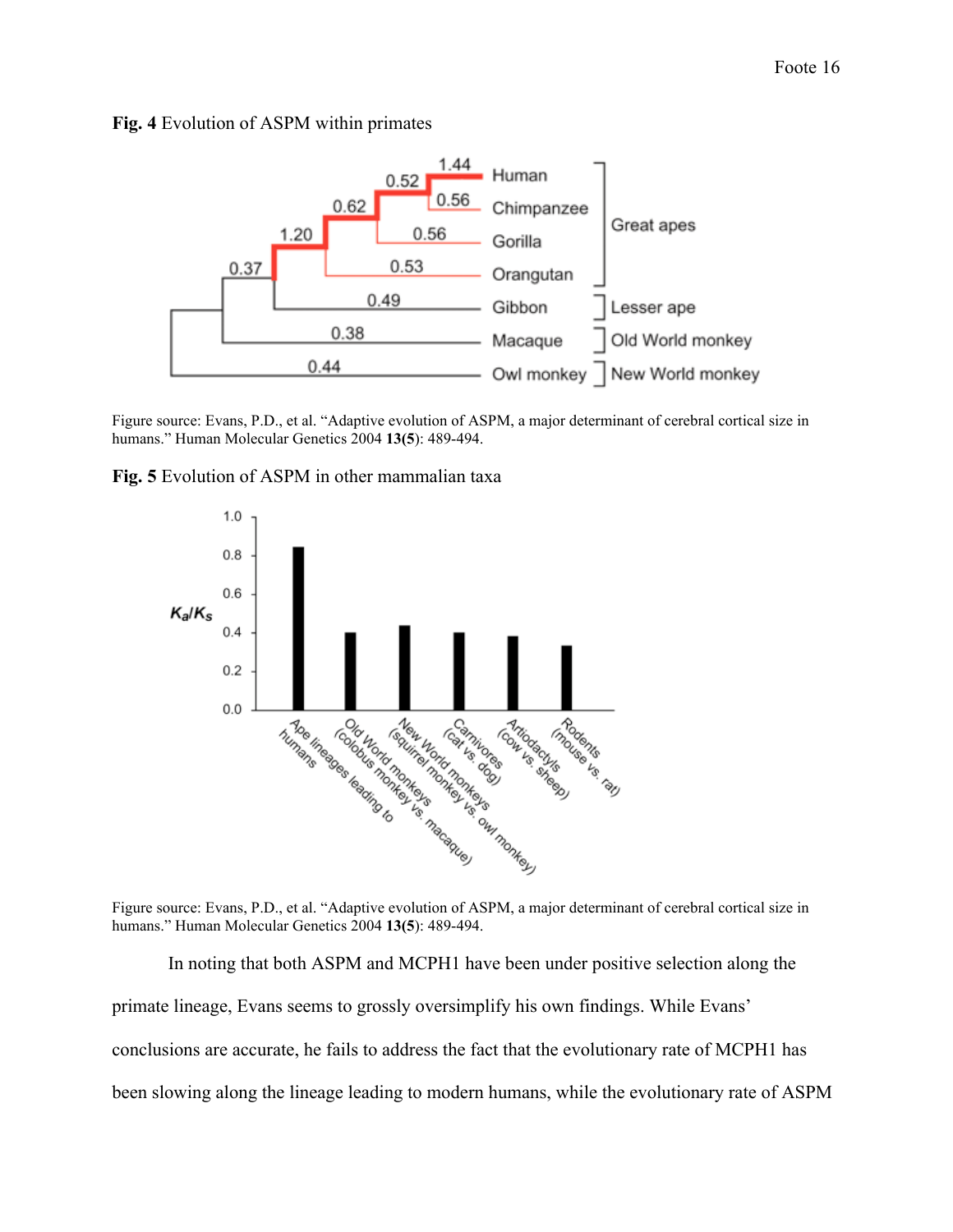



Figure source: Evans, P.D., et al. "Adaptive evolution of ASPM, a major determinant of cerebral cortical size in humans." Human Molecular Genetics 2004 **13(5**): 489-494.





Figure source: Evans, P.D., et al. "Adaptive evolution of ASPM, a major determinant of cerebral cortical size in humans." Human Molecular Genetics 2004 **13(5**): 489-494.

In noting that both ASPM and MCPH1 have been under positive selection along the primate lineage, Evans seems to grossly oversimplify his own findings. While Evans' conclusions are accurate, he fails to address the fact that the evolutionary rate of MCPH1 has been slowing along the lineage leading to modern humans, while the evolutionary rate of ASPM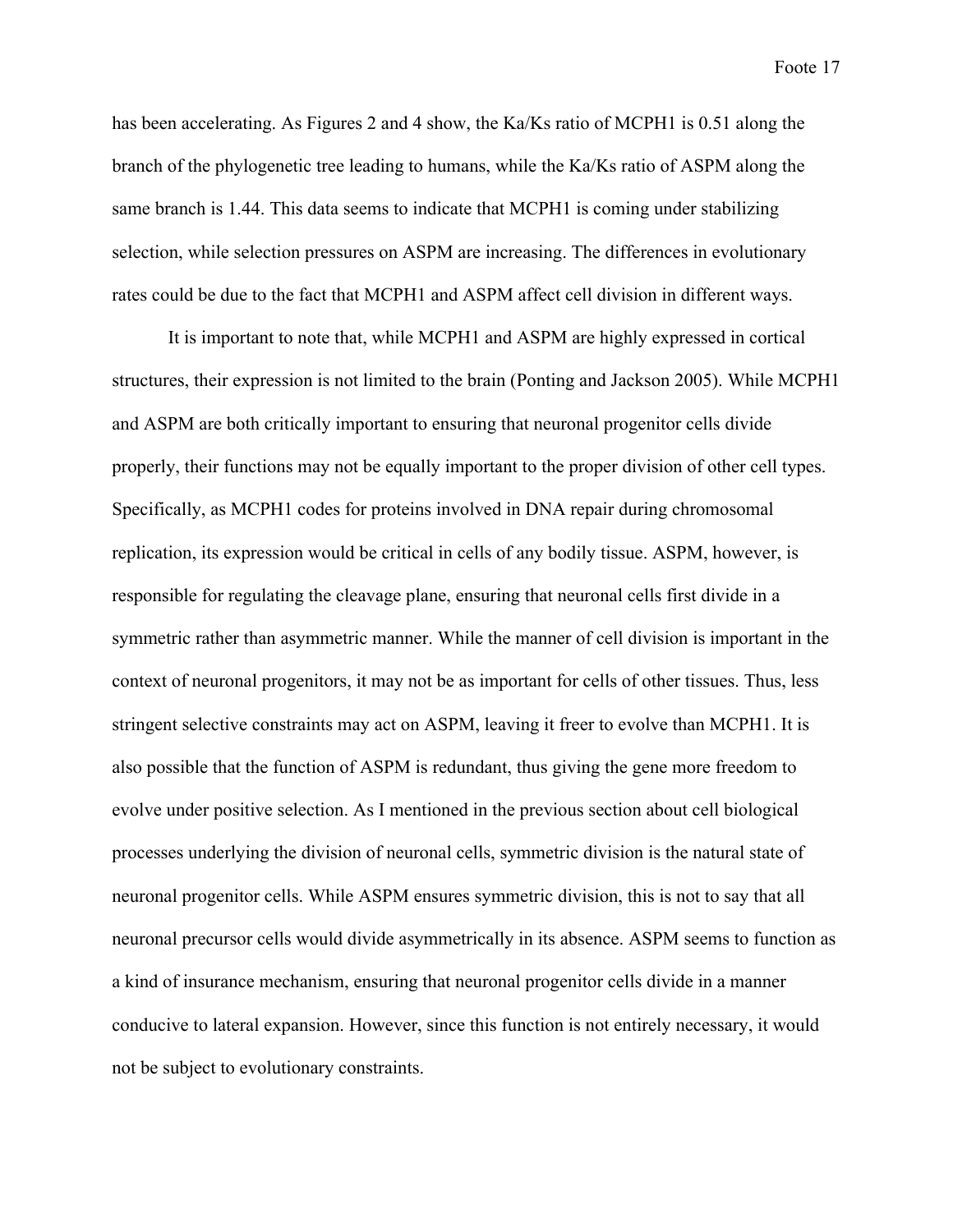has been accelerating. As Figures 2 and 4 show, the Ka/Ks ratio of MCPH1 is 0.51 along the branch of the phylogenetic tree leading to humans, while the Ka/Ks ratio of ASPM along the same branch is 1.44. This data seems to indicate that MCPH1 is coming under stabilizing selection, while selection pressures on ASPM are increasing. The differences in evolutionary rates could be due to the fact that MCPH1 and ASPM affect cell division in different ways.

It is important to note that, while MCPH1 and ASPM are highly expressed in cortical structures, their expression is not limited to the brain (Ponting and Jackson 2005). While MCPH1 and ASPM are both critically important to ensuring that neuronal progenitor cells divide properly, their functions may not be equally important to the proper division of other cell types. Specifically, as MCPH1 codes for proteins involved in DNA repair during chromosomal replication, its expression would be critical in cells of any bodily tissue. ASPM, however, is responsible for regulating the cleavage plane, ensuring that neuronal cells first divide in a symmetric rather than asymmetric manner. While the manner of cell division is important in the context of neuronal progenitors, it may not be as important for cells of other tissues. Thus, less stringent selective constraints may act on ASPM, leaving it freer to evolve than MCPH1. It is also possible that the function of ASPM is redundant, thus giving the gene more freedom to evolve under positive selection. As I mentioned in the previous section about cell biological processes underlying the division of neuronal cells, symmetric division is the natural state of neuronal progenitor cells. While ASPM ensures symmetric division, this is not to say that all neuronal precursor cells would divide asymmetrically in its absence. ASPM seems to function as a kind of insurance mechanism, ensuring that neuronal progenitor cells divide in a manner conducive to lateral expansion. However, since this function is not entirely necessary, it would not be subject to evolutionary constraints.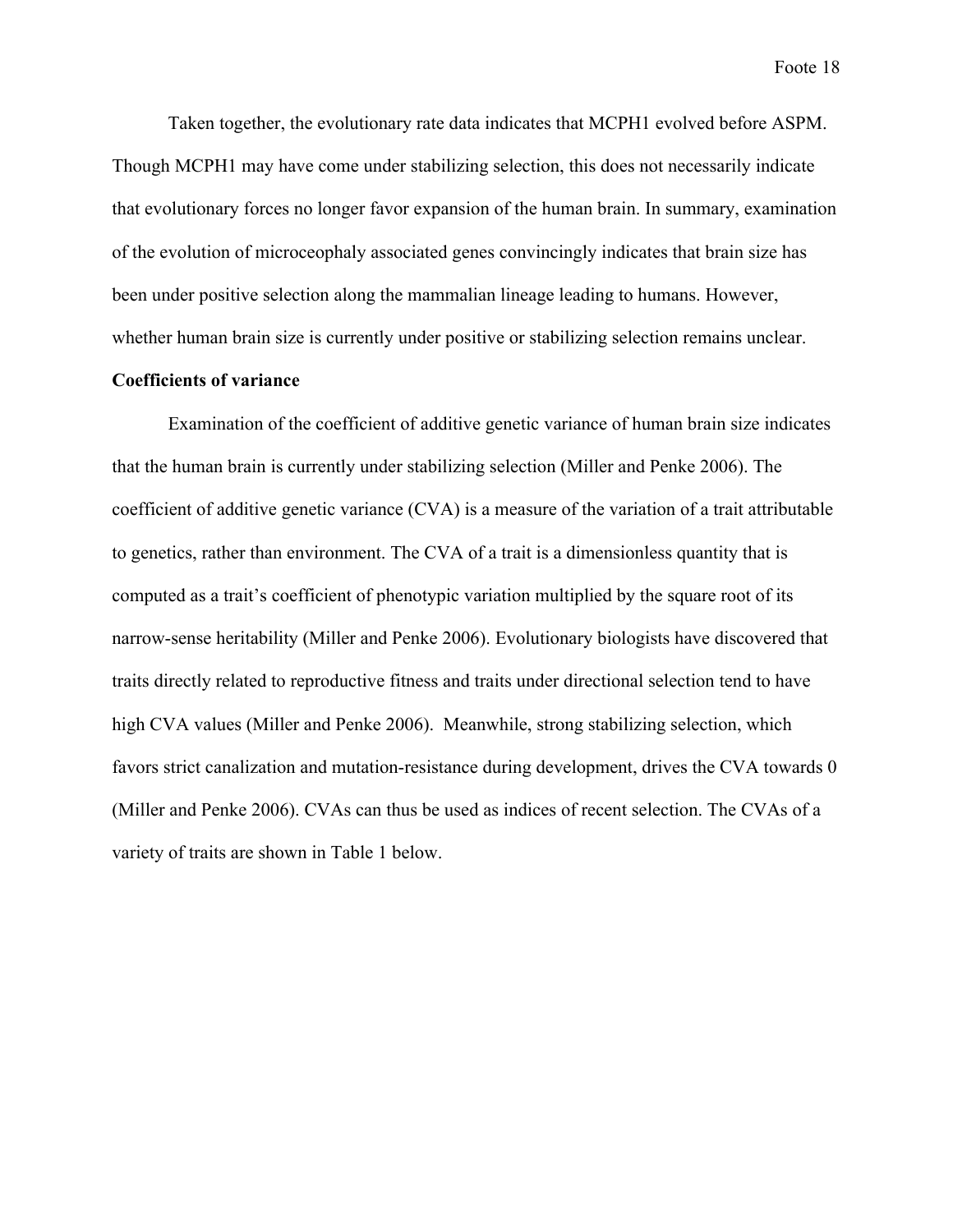Taken together, the evolutionary rate data indicates that MCPH1 evolved before ASPM. Though MCPH1 may have come under stabilizing selection, this does not necessarily indicate that evolutionary forces no longer favor expansion of the human brain. In summary, examination of the evolution of microceophaly associated genes convincingly indicates that brain size has been under positive selection along the mammalian lineage leading to humans. However, whether human brain size is currently under positive or stabilizing selection remains unclear.

# **Coefficients of variance**

Examination of the coefficient of additive genetic variance of human brain size indicates that the human brain is currently under stabilizing selection (Miller and Penke 2006). The coefficient of additive genetic variance (CVA) is a measure of the variation of a trait attributable to genetics, rather than environment. The CVA of a trait is a dimensionless quantity that is computed as a trait's coefficient of phenotypic variation multiplied by the square root of its narrow-sense heritability (Miller and Penke 2006). Evolutionary biologists have discovered that traits directly related to reproductive fitness and traits under directional selection tend to have high CVA values (Miller and Penke 2006). Meanwhile, strong stabilizing selection, which favors strict canalization and mutation-resistance during development, drives the CVA towards 0 (Miller and Penke 2006). CVAs can thus be used as indices of recent selection. The CVAs of a variety of traits are shown in Table 1 below.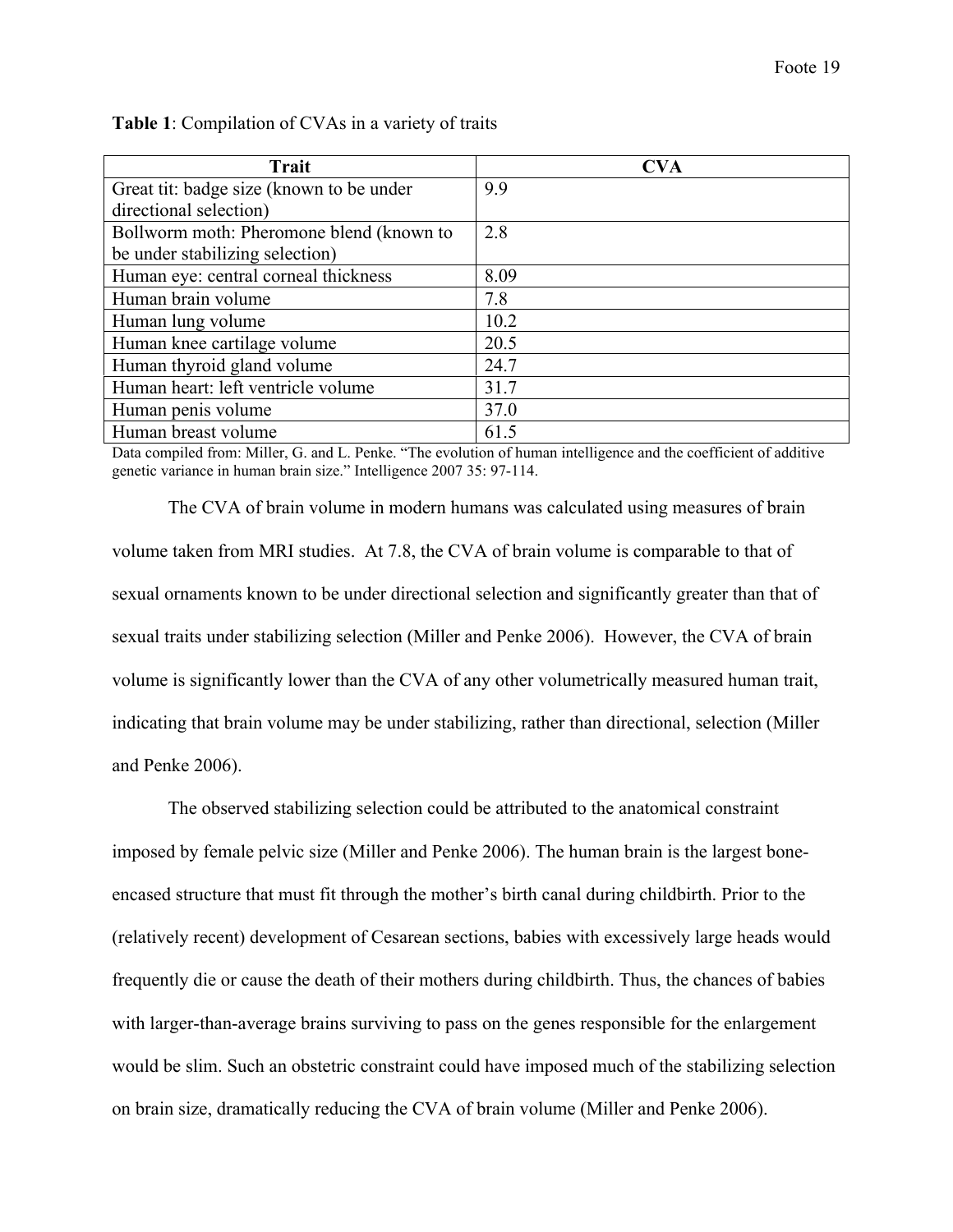| <b>Trait</b>                             | <b>CVA</b> |
|------------------------------------------|------------|
| Great tit: badge size (known to be under | 9.9        |
| directional selection)                   |            |
| Bollworm moth: Pheromone blend (known to | 2.8        |
| be under stabilizing selection)          |            |
| Human eye: central corneal thickness     | 8.09       |
| Human brain volume                       | 7.8        |
| Human lung volume                        | 10.2       |
| Human knee cartilage volume              | 20.5       |
| Human thyroid gland volume               | 24.7       |
| Human heart: left ventricle volume       | 31.7       |
| Human penis volume                       | 37.0       |
| Human breast volume                      | 61.5       |

**Table 1**: Compilation of CVAs in a variety of traits

Data compiled from: Miller, G. and L. Penke. "The evolution of human intelligence and the coefficient of additive genetic variance in human brain size." Intelligence 2007 35: 97-114.

The CVA of brain volume in modern humans was calculated using measures of brain volume taken from MRI studies. At 7.8, the CVA of brain volume is comparable to that of sexual ornaments known to be under directional selection and significantly greater than that of sexual traits under stabilizing selection (Miller and Penke 2006). However, the CVA of brain volume is significantly lower than the CVA of any other volumetrically measured human trait, indicating that brain volume may be under stabilizing, rather than directional, selection (Miller and Penke 2006).

The observed stabilizing selection could be attributed to the anatomical constraint imposed by female pelvic size (Miller and Penke 2006). The human brain is the largest boneencased structure that must fit through the mother's birth canal during childbirth. Prior to the (relatively recent) development of Cesarean sections, babies with excessively large heads would frequently die or cause the death of their mothers during childbirth. Thus, the chances of babies with larger-than-average brains surviving to pass on the genes responsible for the enlargement would be slim. Such an obstetric constraint could have imposed much of the stabilizing selection on brain size, dramatically reducing the CVA of brain volume (Miller and Penke 2006).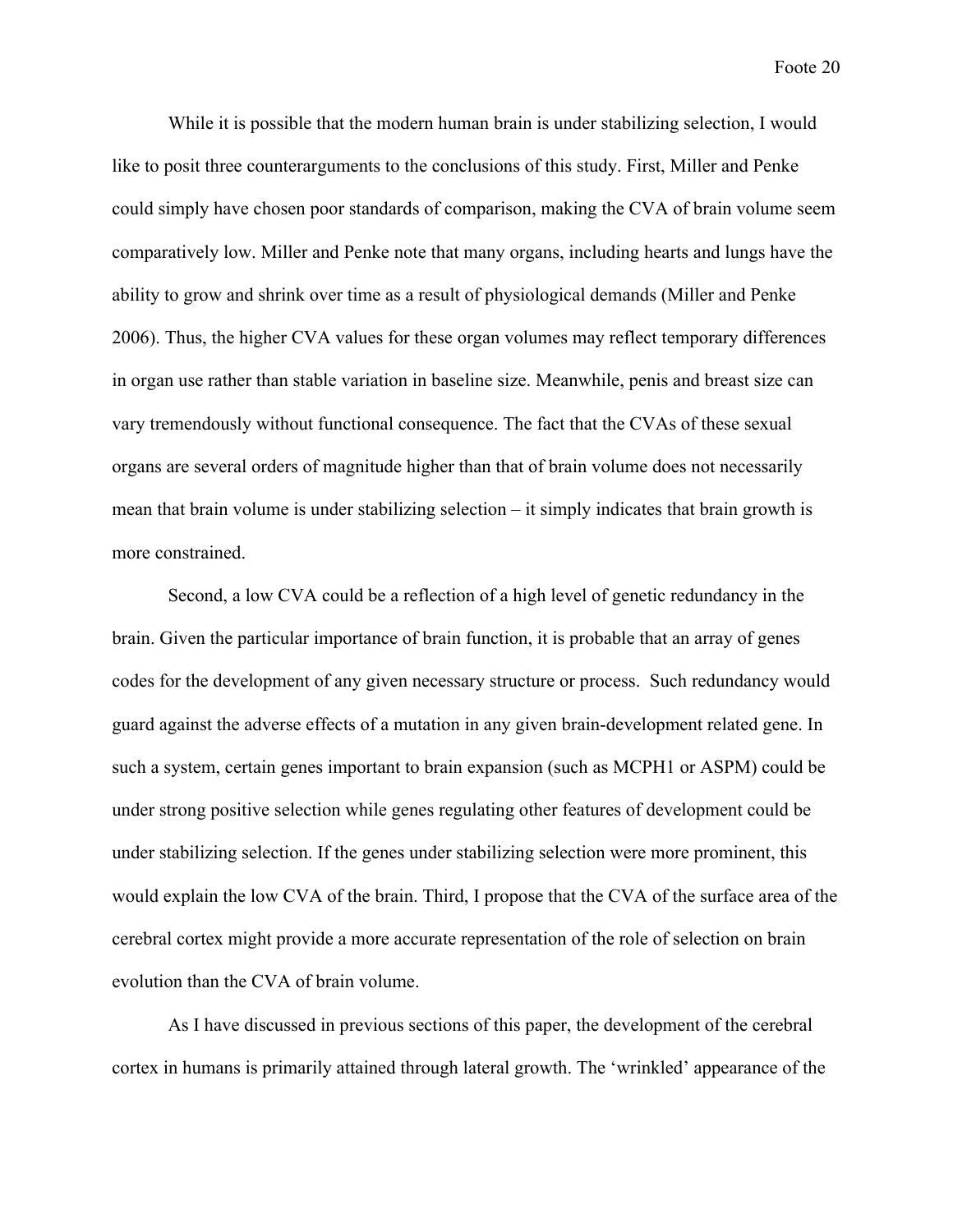While it is possible that the modern human brain is under stabilizing selection, I would like to posit three counterarguments to the conclusions of this study. First, Miller and Penke could simply have chosen poor standards of comparison, making the CVA of brain volume seem comparatively low. Miller and Penke note that many organs, including hearts and lungs have the ability to grow and shrink over time as a result of physiological demands (Miller and Penke 2006). Thus, the higher CVA values for these organ volumes may reflect temporary differences in organ use rather than stable variation in baseline size. Meanwhile, penis and breast size can vary tremendously without functional consequence. The fact that the CVAs of these sexual organs are several orders of magnitude higher than that of brain volume does not necessarily mean that brain volume is under stabilizing selection – it simply indicates that brain growth is more constrained.

Second, a low CVA could be a reflection of a high level of genetic redundancy in the brain. Given the particular importance of brain function, it is probable that an array of genes codes for the development of any given necessary structure or process. Such redundancy would guard against the adverse effects of a mutation in any given brain-development related gene. In such a system, certain genes important to brain expansion (such as MCPH1 or ASPM) could be under strong positive selection while genes regulating other features of development could be under stabilizing selection. If the genes under stabilizing selection were more prominent, this would explain the low CVA of the brain. Third, I propose that the CVA of the surface area of the cerebral cortex might provide a more accurate representation of the role of selection on brain evolution than the CVA of brain volume.

As I have discussed in previous sections of this paper, the development of the cerebral cortex in humans is primarily attained through lateral growth. The 'wrinkled' appearance of the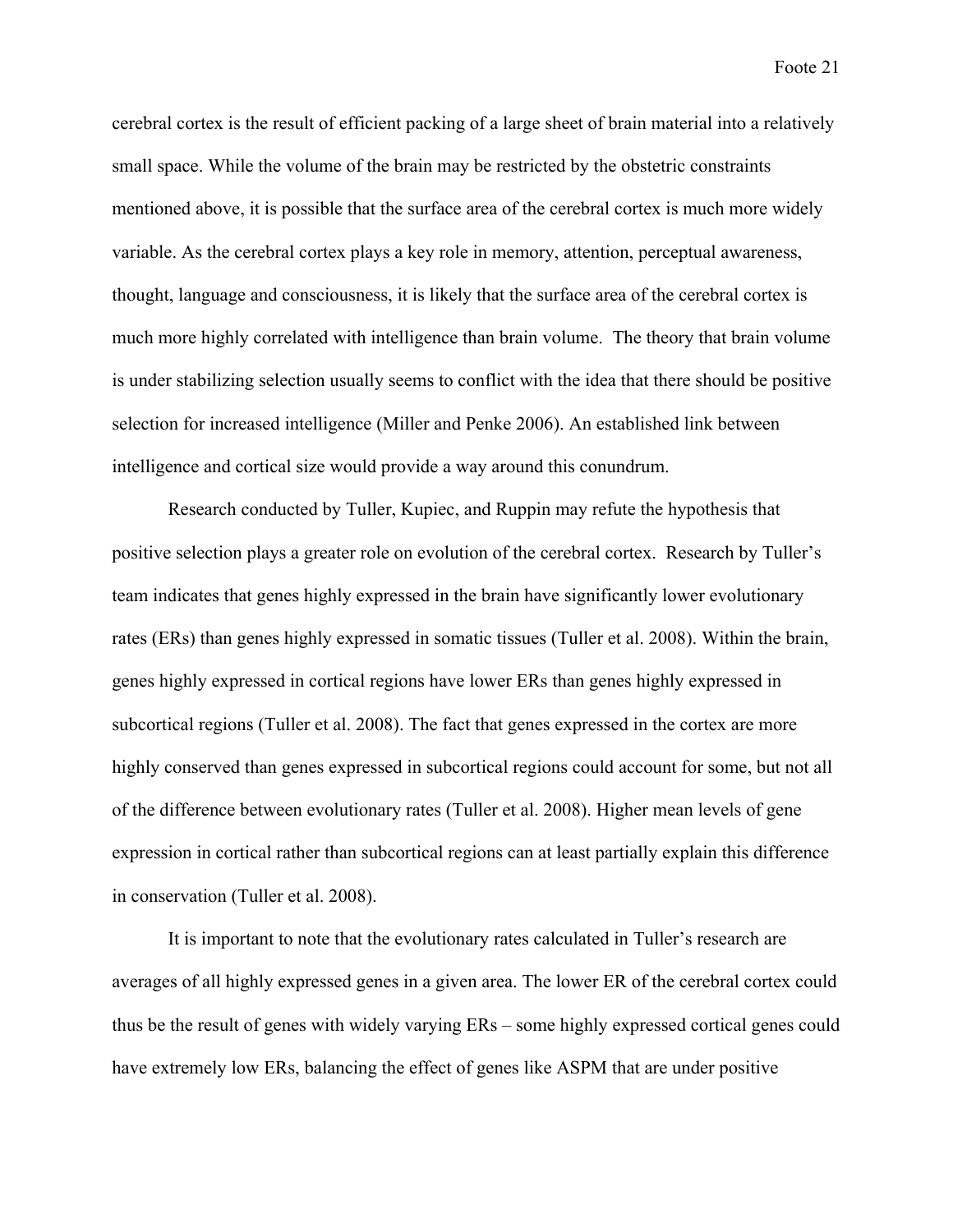cerebral cortex is the result of efficient packing of a large sheet of brain material into a relatively small space. While the volume of the brain may be restricted by the obstetric constraints mentioned above, it is possible that the surface area of the cerebral cortex is much more widely variable. As the cerebral cortex plays a key role in memory, attention, perceptual awareness, thought, language and consciousness, it is likely that the surface area of the cerebral cortex is much more highly correlated with intelligence than brain volume. The theory that brain volume is under stabilizing selection usually seems to conflict with the idea that there should be positive selection for increased intelligence (Miller and Penke 2006). An established link between intelligence and cortical size would provide a way around this conundrum.

Research conducted by Tuller, Kupiec, and Ruppin may refute the hypothesis that positive selection plays a greater role on evolution of the cerebral cortex. Research by Tuller's team indicates that genes highly expressed in the brain have significantly lower evolutionary rates (ERs) than genes highly expressed in somatic tissues (Tuller et al. 2008). Within the brain, genes highly expressed in cortical regions have lower ERs than genes highly expressed in subcortical regions (Tuller et al. 2008). The fact that genes expressed in the cortex are more highly conserved than genes expressed in subcortical regions could account for some, but not all of the difference between evolutionary rates (Tuller et al. 2008). Higher mean levels of gene expression in cortical rather than subcortical regions can at least partially explain this difference in conservation (Tuller et al. 2008).

It is important to note that the evolutionary rates calculated in Tuller's research are averages of all highly expressed genes in a given area. The lower ER of the cerebral cortex could thus be the result of genes with widely varying ERs – some highly expressed cortical genes could have extremely low ERs, balancing the effect of genes like ASPM that are under positive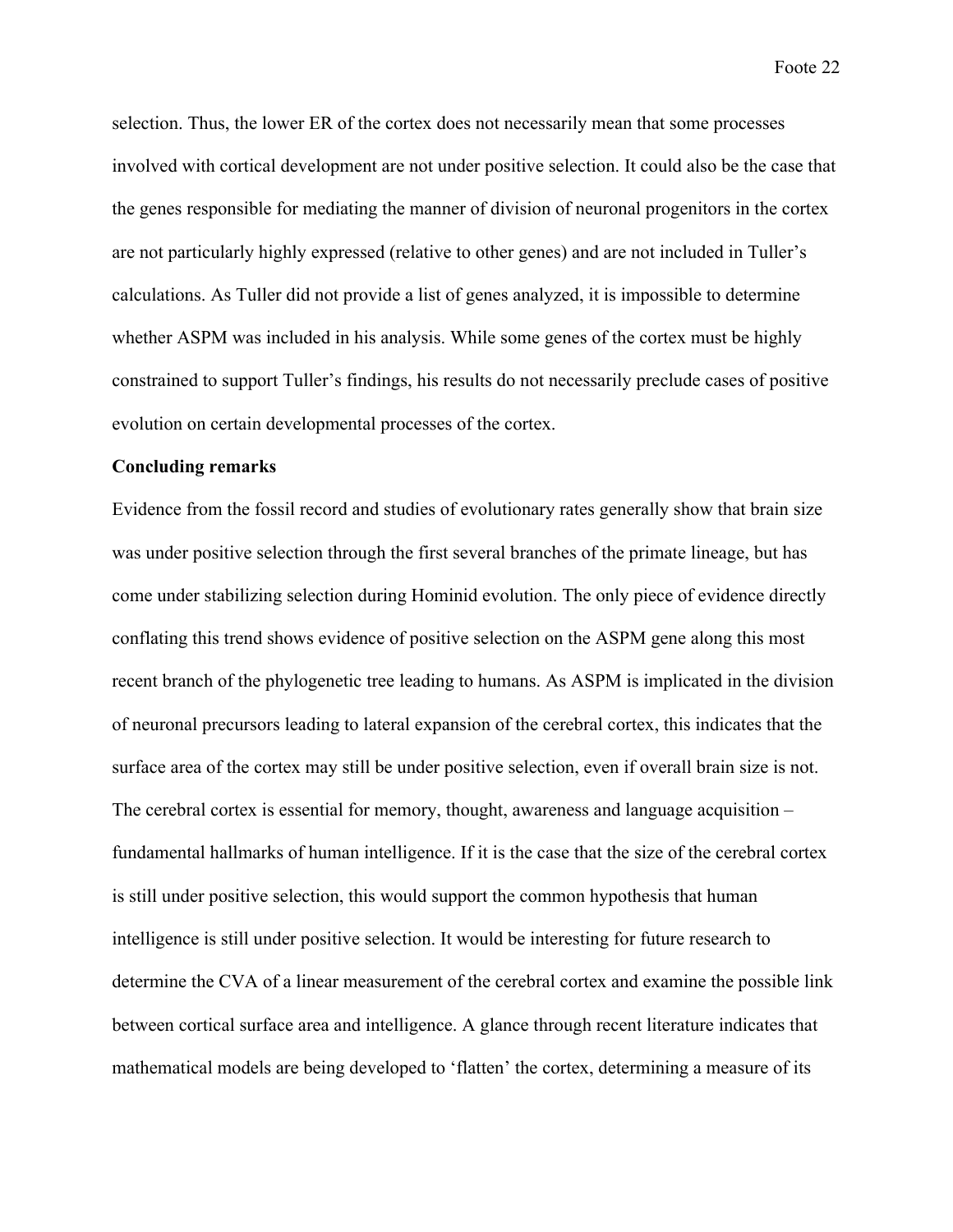selection. Thus, the lower ER of the cortex does not necessarily mean that some processes involved with cortical development are not under positive selection. It could also be the case that the genes responsible for mediating the manner of division of neuronal progenitors in the cortex are not particularly highly expressed (relative to other genes) and are not included in Tuller's calculations. As Tuller did not provide a list of genes analyzed, it is impossible to determine whether ASPM was included in his analysis. While some genes of the cortex must be highly constrained to support Tuller's findings, his results do not necessarily preclude cases of positive evolution on certain developmental processes of the cortex.

## **Concluding remarks**

Evidence from the fossil record and studies of evolutionary rates generally show that brain size was under positive selection through the first several branches of the primate lineage, but has come under stabilizing selection during Hominid evolution. The only piece of evidence directly conflating this trend shows evidence of positive selection on the ASPM gene along this most recent branch of the phylogenetic tree leading to humans. As ASPM is implicated in the division of neuronal precursors leading to lateral expansion of the cerebral cortex, this indicates that the surface area of the cortex may still be under positive selection, even if overall brain size is not. The cerebral cortex is essential for memory, thought, awareness and language acquisition – fundamental hallmarks of human intelligence. If it is the case that the size of the cerebral cortex is still under positive selection, this would support the common hypothesis that human intelligence is still under positive selection. It would be interesting for future research to determine the CVA of a linear measurement of the cerebral cortex and examine the possible link between cortical surface area and intelligence. A glance through recent literature indicates that mathematical models are being developed to 'flatten' the cortex, determining a measure of its